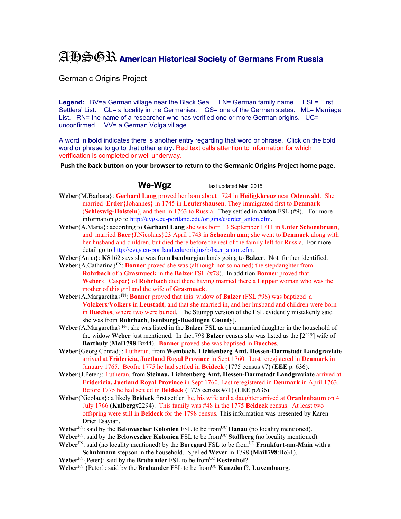## AHSGR **American Historical Society of Germans From Russia**

Germanic Origins Project

Legend: BV=a German village near the Black Sea . FN= German family name. FSL= First Settlers' List. GL= a locality in the Germanies. GS= one of the German states. ML= Marriage List. RN= the name of a researcher who has verified one or more German origins. UC= unconfirmed. VV= a German Volga village.

A word in **bold** indicates there is another entry regarding that word or phrase. Click on the bold word or phrase to go to that other entry. Red text calls attention to information for which verification is completed or well underway.

**Push the back button on your browser to return to the Germanic Origins Project home page**.

**We-Wgz** last updated Mar 2015

- **Weber**{M.Barbara}: **Gerhard Lang** proved her born about 1724 in **Heiligkkreuz** near **Odenwald**. She married **Erder**{Johannes} in 1745 in **Leutershausen**. They immigrated first to **Denmark** (**Schleswig-Holstein**), and then in 1763 to Russia. They settled in **Anton** FSL (#9). For more information go to http://cvgs.cu-portland.edu/origins/e/erder\_anton.cfm.
- **Weber**{A.Maria}: according to **Gerhard Lang** she was born 13 September 1711 in **Unter Schoenbrunn**, and married **Baer**{J.Nicolaus}23 April 1743 in **Schoenbrunn**; she went to **Denmark** along with her husband and children, but died there before the rest of the family left for Russia. For more detail go to http://cvgs.cu-portland.edu/origins/b/baer\_anton.cfm.
- **Weber**{Anna}: **KS**162 says she was from **Isenburg**ian lands going to **Balzer**. Not further identified.
- **Weber** {A.Catharina}<sup>FN</sup>: **Bonner** proved she was (although not so named) the stepdaughter from **Rohrbach** of a **Grasmueck** in the **Balzer** FSL (#78). In addition **Bonner** proved that **Weber**{J.Caspar} of **Rohrbach** died there having married there a **Lepper** woman who was the mother of this girl and the wife of **Grasmueck**.
- **Weber**{A.Margaretha}FN: **Bonner** proved that this widow of **Balzer** (FSL #98) was baptized a **Volckers**/**Volkers** in **Leustadt**, and that she married in, and her husband and children were born in **Bueches**, where two were buried. The Stumpp version of the FSL evidently mistakenly said she was from **Rohrbach**, **Isenburg**[-**Buedingen County**].
- **Weber** {A.Margaretha}  $F_N$ : she was listed in the **Balzer** FSL as an unmarried daughter in the household of the widow **Weber** just mentioned. In the1798 **Balzer** census she was listed as the [2nd?] wife of **Barthuly** (**Mai1798**:Bz44). **Bonner** proved she was baptised in **Bueches**.
- **Weber**{Georg Conrad}: Lutheran, from **Wembach, Lichtenberg Amt, Hessen-Darmstadt Landgraviate** arrived at **Fridericia, Juetland Royal Province** in Sept 1760. Last reregistered in **Denmark** in January 1765. Beofre 1775 he had settled in **Beideck** (1775 census #7) (**EEE** p. 636).
- **Weber**{J.Peter}: Lutheran, from **Steinau, Lichtenberg Amt, Hessen-Darmstadt Landgraviate** arrived at **Fridericia, Juetland Royal Province** in Sept 1760. Last reregistered in **Denmark** in April 1763. Before 1775 he had settled in **Beideck** (1775 census #71) (**EEE** p.636).
- **Weber**{Nicolaus}: a likely **Beideck** first settler: he, his wife and a daughter arrived at **Oranienbaum** on 4 July 1766 (**Kulberg**#2294). This family was #48 in the 1775 **Beideck** census. At least two offspring were still in **Beideck** for the 1798 census. This information was presented by Karen Drier Esayian.
- **Weber**<sup>FN</sup>: said by the **Belowescher Kolonien** FSL to be from<sup>UC</sup> **Hanau** (no locality mentioned).
- Weber<sup>FN</sup>: said by the **Belowescher Kolonien** FSL to be from<sup>UC</sup> Stollberg (no locality mentioned).
- **Weber**<sup>FN</sup>: said (no locality mentioned) by the **Boregard** FSL to be from<sup>UC</sup> **Frankfurt-am-Main** with a **Schuhmann** stepson in the household. Spelled **Wever** in 1798 (**Mai1798**:Bo31).
- **Weber**<sup>FN</sup>{Peter}: said by the **Brabander** FSL to be from<sup>UC</sup> **Kestenhof**?.
- **Weber**<sup>FN</sup> {Peter}: said by the **Brabander** FSL to be from<sup>UC</sup> **Kunzdorf**?, **Luxembourg**.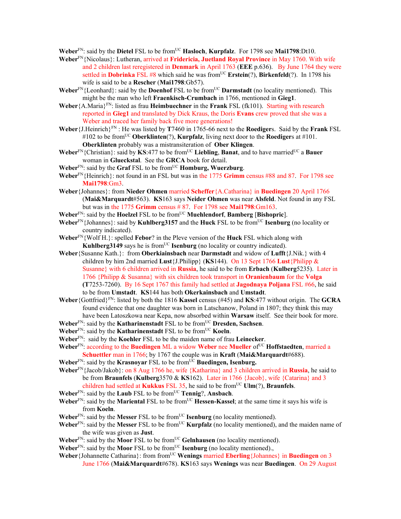**Weber**<sup>FN</sup>: said by the **Dietel** FSL to be from<sup>UC</sup> **Hasloch**, **Kurpfalz**. For 1798 see **Mai1798**:Dt10.

- **Weber**FN{Nicolaus}: Lutheran, arrived at **Fridericia, Juetland Royal Province** in May 1760. With wife and 2 children last reregistered in **Denmark** in April 1763 (**EEE** p.636). By June 1764 they were settled in **Dobrinka** FSL #8 which said he was fromUC **Erstein**(?), **Birkenfeld**(?). In 1798 his wife is said to be a **Rescher** (**Mai1798**:Gb57).
- **Weber**<sup>FN</sup>{Leonhard}: said by the **Doenhof** FSL to be from<sup>UC</sup> **Darmstadt** (no locality mentioned). This might be the man who left **Fraenkisch-Crumbach** in 1766, mentioned in **Gieg1**.
- **Weber**{A.Maria}FN: listed as frau **Heimbuechner** in the **Frank** FSL (fk101). Starting with research reported in **Gieg1** and translated by Dick Kraus, the Doris **Evans** crew proved that she was a Weber and traced her family back five more generations!
- **Weber**{J.Heinrich}FN : He was listed by **T**7460 in 1765-66 next to the **Roediger**s. Said by the **Frank** FSL #102 to be from<sup>UC</sup> **Oberklinten**(?), **Kurpfalz**, living next door to the **Roediger**s at #101. **Oberklinten** probably was a mistransiteration of **Ober Klingen**.
- **Weber**<sup>FN</sup>{Christian}: said by **KS**:477 to be from<sup>UC</sup> Liebling, Banat, and to have married<sup>UC</sup> a Bauer woman in **Glueckstal**. See the **GRCA** book for detail.
- **Weber**FN: said by the **Graf** FSL to be fromUC **Homburg, Wuerzburg**.
- **Weber**FN{Heinrich}: not found in an FSL but was in the 1775 **Grimm** census #88 and 87. For 1798 see **Mai1798**:Gm3.
- **Weber**{Johannes}: from **Nieder Ohmen** married **Scheffer**{A.Catharina} in **Buedingen** 20 April 1766 (**Mai&Marquardt**#563). **KS**163 says **Neider Ohmen** was near **Alsfeld**. Not found in any FSL but was in the 1775 **Grimm** census # 87. For 1798 see **Mai1798**:Gm163.
- **Weber**FN: said by the **Hoelzel** FSL to be fromUC **Muehlendorf**, **Bamberg** [**Bishopric**].
- **Weber**FN{Johannes}: said by **Kuhlberg3157** and the **Huck** FSL to be fromUC **Isenburg** (no locality or country indicated).
- **Weber**FN{Wolf H.}: spelled **Febor**? in the Pleve version of the **Huck** FSL which along with **Kuhlberg3149** says he is from<sup>UC</sup> **Isenburg** (no locality or country indicated).
- **Weber**{Susanne Kath.}: from **Oberkiainsbach** near **Darmstadt** and widow of **Lufft**{J.Nik.} with 4 children by him 2nd married **Lust**{J.Philipp} (**KS**144). On 13 Sept 1766 **Lust**{Philipp & Susanne} with 6 children arrived in **Russia**, he said to be from **Erbach** (**Kulberg**5235). Later in 1766 {Philipp & Susanna} with six children took transport in **Oranienbaum** for the **Volga (T**7253-7260). By 16 Sept 1767 this family had settled at **Jagodnaya Poljana** FSL #66, he said to be from **Umstadt**. **KS**144 has both **Okerkainsbach** and **Umstadt**.
- **Weber**{Gottfried}FN: listed by both the 1816 **Kassel** census (#45) and **KS**:477 without origin. The **GCRA** found evidence that one daughter was born in Latschanow, Poland in 1807; they think this may have been Latoszkowa near Kepa, now absorbed within **Warsaw** itself. See their book for more.
- **Weber**FN: said by the **Katharinenstadt** FSL to be fromUC **Dresden, Sachsen**.
- **Weber**<sup>FN</sup>: said by the **Katharinenstadt** FSL to be from<sup>UC</sup> **Koeln**.
- **Weber**FN: said by the **Koehler** FSL to be the maiden name of frau **Leinecker**.
- Weber<sup>FN</sup>: according to the **Buedingen** ML a widow Weber nee Mueller of<sup>UC</sup> Hoffstaedten, married a **Schuettler** man in 1766; by 1767 the couple was in **Kraft** (**Mai&Marquardt**#688).
- **Weber**<sup>FN</sup>: said by the **Krasnoyar** FSL to be from<sup>UC</sup> Buedingen, Isenburg.
- **Weber**FN{Jacob/Jakob}: on 8 Aug 1766 he, wife {Katharina} and 3 children arrived in **Russia**, he said to be from **Braunfels** (**Kulberg**3570 & **KS**162). Later in 1766 {Jacob}, wife {Catarina} and 3 children had settled at **Kukkus** FSL 35, he said to be from<sup>UC</sup> **Ulm**(?), **Braunfels**.
- **Weber**FN: said by the **Laub** FSL to be fromUC **Tennig**?, **Ansbach**.
- Weber<sup>FN</sup>: said by the Mariental FSL to be from<sup>UC</sup> Hessen-Kassel; at the same time it says his wife is from **Koeln**.
- Weber<sup>FN</sup>: said by the Messer FSL to be from<sup>UC</sup> **Isenburg** (no locality mentioned).
- Weber<sup>FN</sup>: said by the Messer FSL to be from<sup>UC</sup> **Kurpfalz** (no locality mentioned), and the maiden name of the wife was given as **Just**.
- **Weber**<sup>FN</sup>: said by the **Moor** FSL to be from<sup>UC</sup> Gelnhausen (no locality mentioned).
- **Weber**<sup>FN</sup>: said by the **Moor** FSL to be from<sup>UC</sup> **Isenburg** (no locality mentioned).
- **Weber** {Johannette Catharina}: from from<sup>UC</sup> **Wenings** married **Eberling** {Johannes} in **Buedingen** on 3 June 1766 (**Mai&Marquardt**#678). **KS**163 says **Wenings** was near **Buedingen**. On 29 August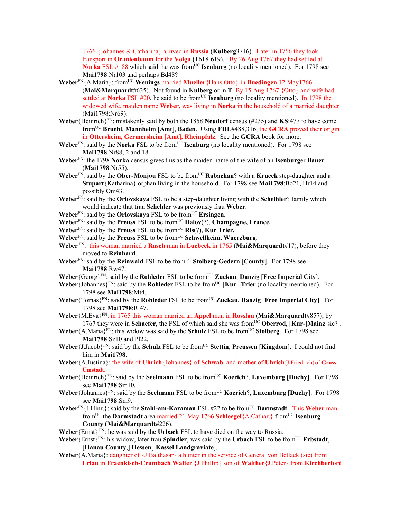1766 {Johannes & Catharina} arrived in **Russia** (**Kulberg**3716). Later in 1766 they took transport in **Oranienbaum** for the **Volga (**T618-619). By 26 Aug 1767 they had settled at **Norka** FSL #188 which said he was from<sup>UC</sup> **Isenburg** (no locality mentioned). For 1798 see **Mai1798**:Nr103 and perhaps Bd48?

- **Weber**<sup>FN</sup>{A.Maria}: from<sup>UC</sup> **Wenings** married **Mueller**{Hans Otto} in **Buedingen** 12 May1766 (**Mai&Marquardt**#635). Not found in **Kulberg** or in **T**. By 15 Aug 1767 {Otto} and wife had settled at **Norka** FSL #20, he said to be from<sup>UC</sup> **Isenburg** (no locality mentioned). In 1798 the widowed wife, maiden name **Weber,** was living in **Norka** in the household of a married daughter (Mai1798:Nr69).
- **Weber**{Heinrich}FN: mistakenly said by both the 1858 **Neudorf** census (#235) and **KS**:477 to have come fromUC **Bruehl**, **Mannheim** [**Amt**], **Baden**. Using **FHL**#488,316, the **GCRA** proved their origin in **Ottersheim**, **Germersheim** [**Amt**], **Rheinpfalz**. See the **GCRA** book for more.
- **Weber**<sup>FN</sup>: said by the **Norka** FSL to be from<sup>UC</sup> **Isenburg** (no locality mentioned). For 1798 see **Mai1798**:Nr88, 2 and 18.
- **Weber**FN: the 1798 **Norka** census gives this as the maiden name of the wife of an **Isenburg**er **Bauer** (**Mai1798**:Nr55).
- **Weber**FN: said by the **Ober-Monjou** FSL to be fromUC **Rabachan**? with a **Krueck** step-daughter and a **Stupart**{Katharina} orphan living in the household. For 1798 see **Mai1798**:Bo21, Hr14 and possibly Om43.
- **Weber**FN: said by the **Orlovskaya** FSL to be a step-daughter living with the **Schelhler**? family which would indicate that frau **Schehler** was previously frau **Weber**.
- **Weber**FN: said by the **Orlovskaya** FSL to be fromUC **Ersingen**.
- **Weber**<sup>FN</sup>: said by the **Preuss** FSL to be from<sup>UC</sup> **Dalov**(?), **Champagne, France.**
- **Weber**<sup>FN</sup>: said by the **Preuss** FSL to be from<sup>UC</sup> **Ris**(?), **Kur Trier.**
- **Weber**FN: said by the **Preuss** FSL to be fromUC **Schwellheim, Wuerzburg**.
- **Weber** FN: this woman married a **Rasch** man in **Luebeck** in 1765 (**Mai&Marquardt**#17), before they moved to **Reinhard**.
- **Weber**FN: said by the **Reinwald** FSL to be fromUC **Stolberg-Gedern** [**County**]. For 1798 see **Mai1798**:Rw47.
- **Weber**{Georg}FN: said by the **Rohleder** FSL to be fromUC **Zuckau**, **Danzig** [**Free Imperial City**].
- **Weber** {Johannes}<sup>FN</sup>: said by the **Rohleder** FSL to be from<sup>UC</sup> [**Kur-]Trier** (no locality mentioned). For 1798 see **Mai1798**:Mt4.
- **Weber**{Tomas}<sup>FN</sup>: said by the **Rohleder** FSL to be from<sup>UC</sup> **Zuckau**, **Danzig** [Free Imperial City]. For 1798 see **Mai1798**:Rl47.
- **Weber**{M.Eva}FN: in 1765 this woman married an **Appel** man in **Rosslau** (**Mai&Marquardt**#857); by 1767 they were in **Schaefer**, the FSL of which said she was fromUC **Oberrod**, [**Kur**-]**Mainz**[sic?].
- **Weber** {A.Maria}<sup>FN</sup>: this widow was said by the **Schulz** FSL to be from<sup>UC</sup> **Stolberg**. For 1798 see **Mai1798**:Sz10 and Pl22.
- **Weber** {J.Jacob}<sup>FN</sup>: said by the **Schulz** FSL to be from<sup>UC</sup> **Stettin**, **Preussen** [**Kingdom**]. I could not find him in **Mai1798**.
- **Weber**{A.Justina}: the wife of **Uhrich**{Johannes} of **Schwab** and mother of **Uhrich{**J.Friedrich}of **Gross Umstadt**.
- **Weber**{Heinrich}FN: said by the **Seelmann** FSL to be fromUC **Koerich**?, **Luxemburg** [**Duchy**]. For 1798 see **Mai1798**:Sm10.
- **Weber** {Johannes} $F_N$ : said by the **Seelmann** FSL to be from<sup>UC</sup> **Koerich**?, **Luxemburg** [Duchy]. For 1798 see **Mai1798**:Sm9.
- Weber<sup>FN</sup>{J.Hinr.}: said by the **Stahl-am-Karaman** FSL #22 to be from<sup>UC</sup> **Darmstadt**. This Weber man fromUC the **Darmstadt** area married 21 May 1766 **Schleegel**{A.Cathar.} fromUC **Isenburg County** (**Mai&Marquardt**#226).
- **Weber**{Ernst} FN: he was said by the **Urbach** FSL to have died on the way to Russia.
- **Weber** {Ernst}<sup>FN</sup>: his widow, later frau **Spindler**, was said by the **Urbach** FSL to be from<sup>UC</sup> **Erbstadt**, [**Hanau County**,] **Hessen**[-**Kassel Landgraviate**].
- **Weber**{A.Maria}: daughter of {J.Balthasar} a hunter in the service of General von Betlack (sic) from **Erlau** in **Fraenkisch-Crumbach Walter** {J.Phillip} son of **Walther**{J.Peter} from **Kirchberfort**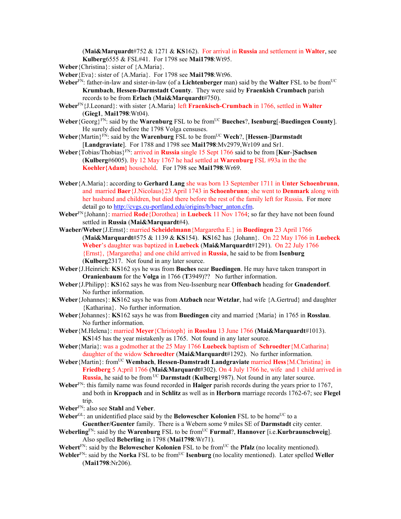(**Mai&Marquardt**#752 & 1271 & **KS**162). For arrival in **Russia** and settlement in **Walter**, see **Kulberg**6555 & FSL#41. For 1798 see **Mai1798**:Wt95.

**Weber**{Christina}: sister of {A.Maria}.

- **Weber**{Eva}: sister of {A.Maria}. For 1798 see **Mai1798**:Wt96.
- **Weber**FN: father-in-law and sister-in-law (of a **Lichtenberger** man) said by the **Walter** FSL to be fromUC **Krumbach**, **Hessen-Darmstadt County**. They were said by **Fraenkish Crumbach** parish records to be from **Erlach** (**Mai&Marquardt**#750).
- **Weber**FN{J.Leonard}: with sister {A.Maria} left **Fraenkisch-Crumbach** in 1766, settled in **Walter** (**Gieg1**, **Mai1798**:Wt04).
- **Weber** {Georg}<sup>FN</sup>: said by the **Warenburg** FSL to be from<sup>UC</sup> **Bueches**?, **Isenburg**[-**Buedingen County**]. He surely died before the 1798 Volga censuses.
- **Weber** {Martin}<sup>FN</sup>: said by the **Warenburg** FSL to be from<sup>UC</sup> **Wech**?, [Hessen-]Darmstadt [**Landgraviate**]. For 1788 and 1798 see **Mai1798**:Mv2979,Wr109 and Sr1.
- **Weber**{Tobias/Thobias}FN: arrived in **Russia** single 15 Sept 1766 said to be from [**Kur**-]**Sachsen**  (**Kulberg**#6005). By 12 May 1767 he had settled at **Warenburg** FSL #93a in the the **Koehler{Adam}** household. For 1798 see **Mai1798**:Wr69.
- **Weber**{A.Maria}: according to **Gerhard Lang** she was born 13 September 1711 in **Unter Schoenbrunn**, and married **Baer**{J.Nicolaus}23 April 1743 in **Schoenbrunn**; she went to **Denmark** along with her husband and children, but died there before the rest of the family left for Russia. For more detail go to http://cvgs.cu-portland.edu/origins/b/baer\_anton.cfm.
- **Weber**FN{Johann}: married **Rode**{Dorothea} in **Luebeck** 11 Nov 1764; so far they have not been found settled in **Russia** (**Mai&Marquardt**#4).
- **Waeber/Weber**{J.Ernst}: married **Scheidelmann**{Margaretha E.} in **Buedingen** 23 April 1766 (**Mai&Marquardt**#575 & 1139 & **KS**154). **KS**162 has {Johann}. On 22 May 1766 in **Luebeck Weber**'s daughter was baptized in **Luebeck** (**Mai&Marquardt**#1291). On 22 July 1766 {Ernst}, {Margaretha} and one child arrived in **Russia**, he said to be from **Isenburg**  (**Kulberg**2317. Not found in any later source.
- **Weber**{J.Heinrich: **KS**162 sys he was from **Buches** near **Buedingen**. He may have taken transport in **Oranienbaum** for the **Volga** in 1766 (**T**3949)?? No further information.
- **Weber**{J.Philipp}: **KS**162 says he was from Neu-Issenburg near **Offenbach** heading for **Gnadendorf**. No further information.
- **Weber**{Johannes}: **KS**162 says he was from **Atzbach** near **Wetzlar**, had wife {A.Gertrud} and daughter {Katharina}. No further information.
- **Weber**{Johannes}: **KS**162 says he was from **Buedingen** city and married {Maria} in 1765 in **Rosslau**. No further information.
- **Weber**{M.Helena}: married **Meyer**{Christoph} in **Rosslau** 13 June 1766 (**Mai&Marquardt**#1013). **KS**145 has the year mistakenly as 1765. Not found in any later source.
- **Weber**{Maria}: was a godmother at the 25 May 1766 **Luebeck** baptism of **Schroedter**{M.Catharina} daughter of the widow **Schroedter** (**Mai&Marquardt**#1292). No further information.
- **Weber**{Martin}: fromUC **Wembach**, **Hessen-Damstradt Landgraviate** married **Hess**{M.Christina} in **Friedberg** 5 A;pril 1766 (**Mai&Marquardt**#302). On 4 July 1766 he, wife and 1 child arrived in **Russia**, he said to be from UC **Darmstadt** (**Kulberg**1987). Not found in any later source.
- **Weber**FN: this family name was found recorded in **Haiger** parish records during the years prior to 1767, and both in **Kroppach** and in **Schlitz** as well as in **Herborn** marriage records 1762-67; see **Flegel** trip.
- **Weber**FN: also see **Stahl** and **Veber**.
- **Weber**<sup>GL</sup>: an unidentified place said by the **Belowescher Kolonien** FSL to be home<sup>UC</sup> to a **Guenther/Guenter** family. There is a Webern some 9 miles SE of **Darmstadt** city center.
- **Weberling**FN: said by the **Warenburg** FSL to be fromUC **Furmal**?, **Hannover** [i.e.**Kurbraunschweig**]. Also spelled **Beberling** in 1798 (**Mai1798**:Wr71).
- Webert<sup>FN</sup>: said by the **Belowescher Kolonien** FSL to be from<sup>UC</sup> the **Pfalz** (no locality mentioned).
- Webler<sup>FN</sup>: said by the **Norka** FSL to be from<sup>UC</sup> **Isenburg** (no locality mentioned). Later spelled Weller (**Mai1798**:Nr206).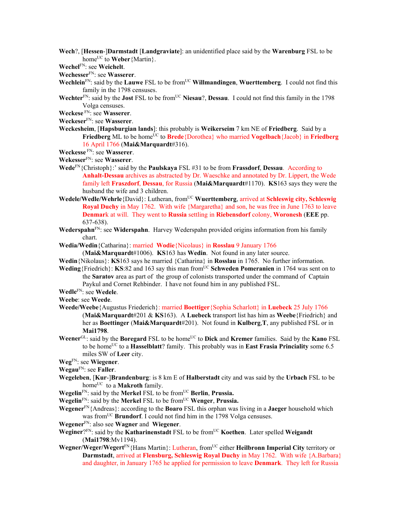**Wech**?, [**Hessen**-]**Darmstadt** [**Landgraviate**]: an unidentified place said by the **Warenburg** FSL to be home<sup>UC</sup> to **Weber** {Martin}.

**Wechel**FN: see **Weichelt**.

- **Wechesser**FN: see **Wasserer**.
- **Wechlein**<sup>FN</sup>: said by the **Lauwe** FSL to be from<sup>UC</sup> **Willmandingen**, **Wuerttemberg**. I could not find this family in the 1798 censuses.
- Wechter<sup>FN</sup>: said by the **Jost** FSL to be from<sup>UC</sup> Niesau?, Dessau. I could not find this family in the 1798 Volga censuses.
- **Weckese** FN: see **Wasserer**.
- **Weckeser**FN: see **Wasserer**.
- **Weckesheim**, [**Hapsburgian lands**]: this probably is **Weikerseim** 7 km NE of **Friedberg**. Said by a Friedberg ML to be home<sup>UC</sup> to Brede<sup>{Dorothea}</sup> who married **Vogelbach**{Jacob} in Friedberg 16 April 1766 (**Mai&Marquardt**#316).
- **Weckesse** FN: see **Wasserer**.

**Wekesser**FN: see **Wasserer**.

- **Wede**FN{Christoph}:' said by the **Paulskaya** FSL #31 to be from **Frassdorf**, **Dessau**. According to **Anhalt-Dessau** archives as abstracted by Dr. Waeschke and annotated by Dr. Lippert, the Wede family left **Fraszdorf**, **Dessau**, for Russia (**Mai&Marquardt**#1170). **KS**163 says they were the husband the wife and 3 children.
- **Wedele/Wedle/Wehrle**{David}: Lutheran, from<sup>UC</sup> **Wuerttemberg**, arrived at **Schleswig city, Schleswig Royal Duchy** in May 1762. With wife {Margaretha} and son, he was free in June 1763 to leave **Denmar**k at will. They went to **Russia** settling in **Riebensdorf** colony, **Woronesh** (**EEE** pp. 637-638).
- **Wederspahn**FN: see **Widerspahn**. Harvey Wederspahn provided origins information from his family chart.
- **Wedia/Wedin**{Catharina}: married **Wodie**{Nicolaus} in **Rosslau** 9 January 1766
	- (**Mai&Marquardt**#1006). **KS**163 has **Wedin**. Not found in any later source.
- **Wedin**{Nikolaus}: **KS**163 says he married {Catharina} in **Rosslau** in 1765. No further information.
- **Weding**{Friedrich}: **KS**:82 and 163 say this man from<sup>UC</sup> **Schweden Pomeranien** in 1764 was sent on to the **Saratov** area as part of the group of colonists transported under the command of Captain
	- Paykul and Cornet Rehbinder. I have not found him in any published FSL.
- **Wedle**FN: see **Wedele**.
- **Weebe**: see **Weede**.
- **Weede/Weebe**{Augustus Friederich}: married **Boettiger**{Sophia Scharlott} in **Luebeck** 25 July 1766 (**Mai&Marquardt**#201 & **KS**163). A **Luebeck** transport list has him as **Weebe**{Friedrich} and her as **Boettinger** (**Mai&Marquardt**#201). Not found in **Kulberg**,**T**, any published FSL or in **Mai1798**.
- **Weener**<sup>GL</sup>: said by the **Boregard** FSL to be home<sup>UC</sup> to **Dick** and **Kremer** families. Said by the **Kano** FSL to be home<sup>UC</sup> to a **Hasselblatt**? family. This probably was in **East Frasia Princiality** some 6.5 miles SW of **Leer** city.
- **Weg**FN: see **Wiegener**.
- **Wegau**FN: see **Faller**.
- **Wegeleben**, [**Kur**-]**Brandenburg**: is 8 km E of **Halberstadt** city and was said by the **Urbach** FSL to be home<sup>UC</sup> to a **Makroth** family.
- **Wegelin**<sup>FN</sup>: said by the **Merkel** FSL to be from<sup>UC</sup> **Berlin**, **Prussia.**
- **Wegelin**<sup>FN</sup>: said by the **Merkel** FSL to be from<sup>UC</sup> **Wenger**, **Prussia.**
- **Wegener**FN{Andreas}: according to the **Boaro** FSL this orphan was living in a **Jaeger** household which was from<sup>UC</sup> **Brundorf**. I could not find him in the 1798 Volga censuses.
- **Wegener**FN: also see **Wagner** and **Wiegener**.
- **Weginer**?FN: said by the **Katharinenstadt** FSL to be fromUC **Koethen**. Later spelled **Weigandt** (**Mai1798**:Mv1194).
- Wegner/Weger/Wegert<sup>FN</sup>{Hans Martin}: Lutheran, from<sup>UC</sup> either Heilbronn Imperial City territory or **Darmstadt**, arrived at **Flensburg, Schleswig Royal Duchy** in May 1762. With wife {A.Barbara} and daughter, in January 1765 he applied for permission to leave **Denmark**. They left for Russia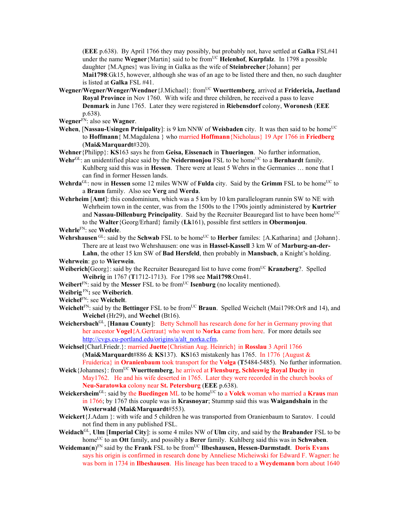(**EEE** p.638). By April 1766 they may possibly, but probably not, have settled at **Galka** FSL#41 under the name **Wegner** {Martin} said to be from<sup>UC</sup> **Helenhof**, **Kurpfalz**. In 1798 a possible daughter {M.Agnes} was living in Galka as the wife of **Steinbrecher**{Johann} per **Mai1798**:Gk15, however, although she was of an age to be listed there and then, no such daughter is listed at **Galka** FSL #41.

- **Wegner/Wegner/Wenger/Wendner**{J.Michael}: fromUC **Wuerttemberg**, arrived at **Fridericia, Juetland Royal Province** in Nov 1760. With wife and three children, he received a pass to leave **Denmark** in June 1765. Later they were registered in **Riebensdorf** colony, **Woronesh** (**EEE** p.638).
- **Wegner**FN: also see **Wagner**.
- **Wehen**, [Nassau-Usingen Prinipality]: is 9 km NNW of Weisbaden city. It was then said to be home<sup>UC</sup> to **Hoffmann**{ M.Magdalena } who married **Hoffmann**{Nicholaus} 19 Apr 1766 in **Friedberg** (**Mai&Marquardt**#320).
- **Wehner**{Philipp}: **KS**163 says he from **Geisa, Eissenach** in **Thueringen**. No further information,
- **Wehr**<sup>GL</sup>: an unidentified place said by the **Neidermonjou** FSL to be home<sup>UC</sup> to a **Bernhardt** family. Kuhlberg said this was in **Hessen**. There were at least 5 Wehrs in the Germanies … none that I can find in former Hessen lands.
- **Wehrda**<sup>GL</sup>: now in **Hessen** some 12 miles WNW of **Fulda** city. Said by the **Grimm** FSL to be home<sup>UC</sup> to a **Braun** family. Also see **Verg** and **Werda**.
- **Wehrheim** [**Amt**]: this condominium, which was a 5 km by 10 km parallelogram runnin SW to NE with Wehrheim town in the center, was from the 1500s to the 1790s jointly administered by **Kurtrier** and Nassau-Dillenburg Principality. Said by the Recruiter Beauregard list to have been home<sup>UC</sup> to the **Walter**{Georg/Erhard} family (**Lk**161), possible first settlers in **Obermonjou**.

**Wehrle**FN: see **Wedele**.

- **Wehrshausen** GL: said by the **Schwab** FSL to be home<sup>UC</sup> to **Herber** familes: {A.Katharina} and {Johann}. There are at least two Wehrshausen: one was in **Hassel-Kassell** 3 km W of **Marburg-an-der-Lahn**, the other 15 km SW of **Bad Hersfeld**, then probably in **Mansbach**, a Knight's holding. **Wehrwein**: go to **Wierwein**.
- **Weiberich**[Georg}: said by the Recruiter Beauregard list to have come from<sup>UC</sup> **Kranzberg**?. Spelled **Weibrig** in 1767 (**T**1712-1713). For 1798 see **Mai1798**:Om41.
- **Weibert**FN: said by the **Messer** FSL to be fromUC **Isenburg** (no locality mentioned).
- **Weibrig** FN**:** see **Weiberich**.
- **Weichel**FN: see **Weichelt**.
- Weichelt<sup>FN</sup>: said by the Bettinger FSL to be from<sup>UC</sup> Braun. Spelled Weichelt (Mai1798:Or8 and 14), and **Weichel** (Hr29), and **Wechel** (Bt16).
- **Weichersbach**GL, [**Hanau County**]: Betty Schmoll has research done for her in Germany proving that her ancestor **Vogel**{A.Gertraut} who went to **Norka** came from here. For more details see http://cvgs.cu-portland.edu/origins/a/alt\_norka.cfm.
- **Weichsel**{Charl.Friedr.}: married **Juette**{Christian Aug. Heinrich} in **Rosslau** 3 April 1766 (**Mai&Marquardt**#886 & **KS**137). **KS**163 mistakenly has 1765. In 1776 {August & Fruiderica} in **Oranienbaum** took transport for the **Volga** (**T**5484-5485). No further information.
- **Weick**{Johannes}: from<sup>UC</sup> **Wuerttemberg**, he arrived at **Flensburg, Schleswig Royal Duchy** in May1762. He and his wife deserted in 1765. Later they were recorded in the church books of **Neu-Saratowka** colony near **St. Petersburg** (**EEE** p.638).
- **Weickersheim**<sup>GL</sup>: said by the **Buedingen** ML to be home<sup>UC</sup> to a **Volck** woman who married a **Kraus** man in 1766; by 1767 this couple was in **Krasnoyar**; Stummp said this was **Waigandshain** in the **Westerwald** (**Mai&Marquardt**#553).
- **Weickert**{J.Adam }: with wife and 5 children he was transported from Oranienbaum to Saratov. I could not find them in any published FSL.
- **Weidach**GL, **Ulm** [**Imperial City**]: is some 4 miles NW of **Ulm** city, and said by the **Brabander** FSL to be homeUC to an **Ott** family, and possibly a **Berer** family. Kuhlberg said this was in **Schwaben**.
- Weideman(n)<sup>FN</sup> said by the Frank FSL to be from<sup>UC</sup> Ilbeshausen, Hessen-Darmstadt. Doris Evans says his origin is confirmed in research done by Anneliese Micheiwski for Edward F. Wagner: he was born in 1734 in **Ilbeshausen**. His lineage has been traced to a **Weydemann** born about 1640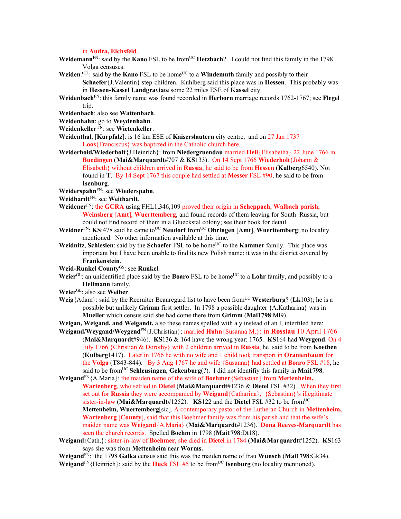in **Audra, Eichsfeld**.

- Weidemann<sup>FN</sup>: said by the **Kano** FSL to be from<sup>UC</sup> **Hetzbach**?. I could not find this family in the 1798 Volga censuses.
- **Weiden**?GL: said by the **Kano** FSL to be home<sup>UC</sup> to a **Windemuth** family and possibly to their

**Schaefer**{J.Valentin} step-children. Kuhlberg said this place was in **Hessen**. This probably was in **Hessen-Kassel Landgraviate** some 22 miles ESE of **Kassel** city.

- **Weidenbach**FN: this family name was found recorded in **Herborn** marriage records 1762-1767; see **Flegel** trip.
- **Weidenbach**: also see **Wattenbach**.
- **Weidenhahn**: go to **Weydenhahn**.
- **Weidenkeller** FN: see **Wietenkeller**.
- **Weidenthal**, [**Kurpfalz**]: is 16 km ESE of **Kaiserslautern** city centre, and on 27 Jan 1737 **Loos**{Franciscus} was baptized in the Catholic church here.
- **Weiderhold/Wiederholt**{J.Heinrich}: from **Niedergruendau** married **Heil**{Elisabetha} 22 June 1766 in **Buedingen** (**Mai&Marquardt**#707 & **KS**133). On 14 Sept 1766 **Wiederholt**{Johann & Elisabeth} without children arrived in **Russia**, he said to be from **Hessen** (**Kulberg**6540). Not found in **T**. By 14 Sept 1767 this couple had settled at **Messer** FSL #90, he said to be from **Isenburg**.
- **Weiderspahn**FN: see **Wiederspahn**.
- **Weidhardt**FN: see **Weithardt**.
- **Weidener**FN: the **GCRA** using FHL1,346,109 proved their origin in **Scheppach**, **Walbach parish**, **Weinsberg** [**Amt**], **Wuerttemberg**, and found records of them leaving for South Russia, but could not find record of them in a Glueckstal colony; see their book for detail.
- **Weidner**<sup>FN</sup>: **KS**:478 said he came to<sup>UC</sup> **Neudorf** from<sup>UC</sup> **Ohringen** [Amt], **Wuerttemberg**; no locality mentioned. No other information available at this time.
- **Weidnitz**, **Schlesien**: said by the **Schaefer** FSL to be home<sup>UC</sup> to the **Kammer** family. This place was important but I have been unable to find its new Polish name: it was in the district covered by **Frankenstein**.
- **Weid-Runkel County**GS: see **Runkel**.
- Weier<sup>GL</sup>: an unidentified place said by the **Boaro** FSL to be home<sup>UC</sup> to a **Lohr** family, and possibly to a **Heilmann** family.
- **Weier**GL: also see **Weiher**.
- **Weig**{Adam}: said by the Recruiter Beauregard list to have been from<sup>UC</sup> Westerburg? (Lk103): he is a possible but unlikely **Grimm** first settler. In 1798 a possible daughter {A.Katharina} was in **Mueller** which census said she had come there from **Grimm** (**Mai1798**:Ml9).
- **Weigan, Weigand, and Weigandt,** also these names spelled with a y instead of an I, interfiled here:
- **Weigand/Weygand/Weygend**FN{J.Christian}: married **Huhn**{Susanna M.}: in **Rosslau** 10 April 1766 (**Mai&Marquardt**#946). **KS**136 & 164 have the wrong year: 1765. **KS**164 had **Weygend**. On 4 July 1766 {Christian & Dorothy} with 2 children arrived in **Russia**, he said to be from **Koethen**  (**Kulberg**1417). Later in 1766 he with no wife and 1 child took transport in **Oranienbaum** for the **Volga** (**T**843-844). By 3 Aug 1767 he and wife {Susanna} had settled at **Boaro** FSL #18, he said to be fromUC **Schleusingen**, **Gekenburg**(?). I did not identifiy this family in **Mai1798**.
- **Weigand**FN{A.Maria}: the maiden name of the wife of **Boehmer**{Sebastian} from **Mettenheim, Wartenberg**, who settled in **Dietel** (**Mai&Marquardt**#1236 & **Dietel** FSL #32). When they first set out for **Russia** they were accompanied by **Weigand**{Catharina}, {Sebastian}'s illegitimate sister-in-law (Mai&Marquardt#1252). **KS**122 and the **Dietel** FSL #32 to be from<sup>UC</sup> **Mettenheim, Wuertemberg**[sic]. A contemporary pastor of the Lutheran Church in **Mettenheim, Wartenberg** [**County**], said that this Boehmer family was from his parish and that the wife's maiden name was **Weigand**{A.Maria} (**Mai&Marquardt**#1236). **Dona Reeves-Marquardt** has seen the church records. Spelled **Boehm** in 1798 (**Mai1798**:Dt18).
- **Weigand**{Cath.}: sister-in-law of **Boehmer**, she died in **Dietel** in 1784 (**Mai&Marquardt**#1252). **KS**163 says she was from **Mettenheim** near **Worms.**

**Weigand**FN: the 1798 **Galka** census said this was the maiden name of frau **Wunsch** (**Mai1798**:Gk34). **Weigand**<sup>FN</sup>{Heinrich}: said by the **Huck** FSL #5 to be from<sup>UC</sup> **Isenburg** (no locality mentioned).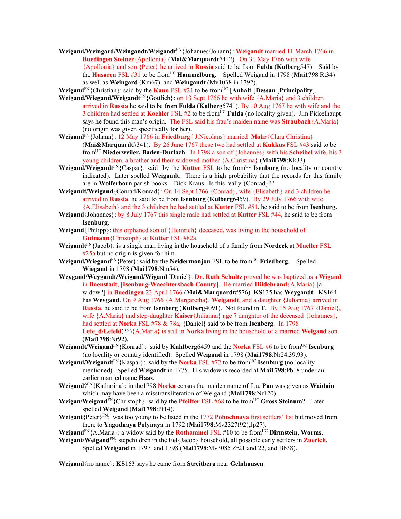**Weigand/Weingard/Weingandt/Weigandt**FN{Johannes/Johann}: **Weigandt** married 11 March 1766 in **Buedingen Steiner**{Apollonia} (**Mai&Marquardt**#412). On 31 May 1766 with wife {Apollonia} and son {Peter} he arrived in **Russia** said to be from **Fulda** (**Kulberg**547). Said by the **Husaren** FSL #31 to be from<sup>UC</sup> **Hammelburg**. Spelled Weigand in 1798 (Mai1798:Rt34) as well as **Weingard** (Km67), and **Weingandt** (Mv1038 in 1792).

**Weigand**FN{Christian}: said by the **Kano** FSL #21 to be fromUC [**Anhalt**-]**Dessau** [**Principality**].

- **Weigand/Wiegand/Weigandt**FN{Gottlieb}: on 13 Sept 1766 he with wife {A.Maria} and 3 children arrived in **Russia** he said to be from **Fulda** (**Kulberg**5741). By 10 Aug 1767 he with wife and the 3 children had settled at **Koehler** FSL #2 to be from<sup>UC</sup> **Fulda** (no locality given). Jim Pickelhaupt says he found this man's origin. The FSL said his frau's maiden name was **Straubach**{A.Maria} (no origin was given specifically for her).
- **Weigand**FN{Johann}: 12 May 1766 in **Friedburg**{ J.Nicolaus} married **Mohr**{Clara Christina} (**Mai&Marquardt**#341). By 26 June 1767 these two had settled at **Kukkus** FSL #43 said to be fromUC **Niederweiler, Baden-Durlach**. In 1798 a son of {Johannes} with his **Scheibel** wife, his 3 young children, a brother and their widowed mother {A.Christina} (**Mai1798**:Kk33).
- **Weigand/Weigandt**<sup>FN</sup>{Caspar}: said by the **Kutter** FSL to be from<sup>UC</sup> **Isenburg** (no locality or country indicated). Later spelled **Weigandt**. There is a high probability that the records for this family are in **Wolferborn** parish books – Dick Kraus. Is this really {Conrad}??
- **Weigandt/Weigand**{Conrad/Konrad}: On 14 Sept 1766 {Conrad}, wife {Elisabeth} and 3 children he arrived in **Russia**, he said to be from **Isenburg** (**Kulberg**6459). By 29 July 1766 with wife {A.Elisabeth} and the 3 children he had settled at **Kutter** FSL #51, he said to be from **Isenburg.**
- **Weigand**{Johannes}: by 8 July 1767 this single male had settled at **Kutter** FSL #44, he said to be from **Isenburg**.
- **Weigand**{Philipp}: this orphaned son of {Heinrich} deceased, was living in the household of **Gutmann**{Christoph} at **Kutter** FSL #82a.
- **Weigandt**FN{Jacob}: is a single man living in the household of a family from **Nordeck** at **Mueller** FSL #25a but no origin is given for him.
- **Weigand/Wiegand**FN{Peter}: said by the **Neidermonjou** FSL to be fromUC **Friedberg**. Spelled **Wiegand** in 1798 (**Mai1798**:Nm54).
- **Weygand/Weygandt/Weigand/Wigand**{Daniel}: **Dr. Ruth Schultz** proved he was baptized as a **Wigand** in **Boenstadt**, [**Isenburg-Waechtersbach County**]. He married **Hildebrand**{A.Maria} [a widow?] in **Buedingen** 23 April 1766 (**Mai&Marquardt**#576). **KS**135 has **Weygandt**. **KS**164 has **Weygand**. On 9 Aug 1766 {A.Margaretha}, **Weigandt**, and a daughter {Julianna} arrived in **Russia**, he said to be from **Isenberg** (**Kulberg**4091). Not found in **T**. By 15 Aug 1767 {Daniel}, wife {A.Maria} and step-daughter **Kaiser**{Julianna} age 7 daughter of the deceased {Johannes}, had settled at **Norka** FSL #78 & 78a, {Daniel} said to be from **Isenberg**. In 1798 **Lefe\_d/Lefeld**(??){A.Maria} is still in **Norka** living in the household of a married **Weigand** son (**Mai1798**:Nr92).
- **Weigandt/Weigand**<sup>FN</sup>{Konrad}: said by **Kuhlberg**6459 and the **Norka** FSL #6 to be from<sup>UC</sup> Isenburg (no locality or country identified). Spelled **Weigand** in 1798 (**Mai1798**:Nr24,39,93).
- **Weigand/Weigandt**<sup>FN</sup>{Kaspar}: said by the **Norka** FSL #72 to be from<sup>UC</sup> **Isenburg** (no locality mentioned). Spelled **Weigandt** in 1775. His widow is recorded at **Mai1798**:Pb18 under an earlier married name **Haas**.
- **Weigand**?FN{Katharina}: in the1798 **Norka** census the maiden name of frau **Pan** was given as **Waidain** which may have been a misstransliteration of Weigand (**Mai1798**:Nr120).
- **Weigan/Weigand**<sup>FN</sup>{Christoph}: said by the **Pfeiffer** FSL #68 to be from<sup>UC</sup> **Gross Steinum**?. Later spelled **Weigand** (**Mai1798**:Pf14).
- **Weigant**{Peter}FN: was too young to be listed in the 1772 **Pobochnaya** first settlers' list but moved from there to **Yagodnaya Polynaya** in 1792 (**Mai1798**:Mv2327(92),Jp27).
- **Weigand**<sup>FN</sup>{A.Maria}: a widow said by the **Rothammel** FSL #10 to be from<sup>UC</sup> **Dirmstein, Worms**.
- **Weigant/Weigand**FN: stepchildren in the **Fei**{Jacob} household, all possible early settlers in **Zuerich**. Spelled **Weigand** in 1797 and 1798 (**Mai1798**:Mv3085 Zr21 and 22, and Bb38).

**Weigand**{no name}: **KS**163 says he came from **Streitberg** near **Gelnhausen**.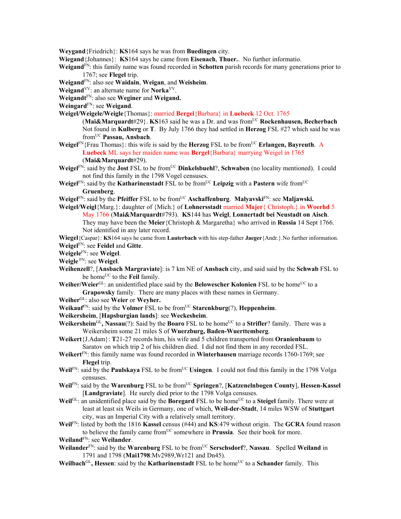**Weygand**{Friedrich}: **KS**164 says he was from **Buedingen** city.

**Wiegand**{Johannes}: **KS**164 says he came from **Eisenach**, **Thuer.**. No further informatio.

- **Weigand**FN: this family name was found recorded in **Schotten** parish records for many generations prior to 1767; see **Flegel** trip.
- **Weigand**FN: also see **Waidain**, **Weigan**, and **Weisheim**.

**Weigand**VV: an alternate name for **Norka**VV.

**Weigandt**FN: also see **Weginer** and **Weigand.** 

**Weingard**FN: see **Weigand**.

- **Weigel/Weigele/Weigle**{Thomas}: married **Bergel**{Barbara} in **Luebeck** 12 Oct. 1765
	- (**Mai&Marquardt**#29}. **KS**163 said he was a Dr. and was fromUC **Rockenhausen, Becherbach** Not found in **Kulberg** or **T**. By July 1766 they had settled in **Herzog** FSL #27 which said he was fromUC **Passau, Ansbach**.
- **Weigel**<sup>FN</sup>{Frau Thomas}: this wife is said by the **Herzog** FSL to be from<sup>UC</sup> **Erlangen, Bayreuth**. A **Luebeck** ML says her maiden name was **Bergel**{Barbara} marrying Weigel in 1765 (**Mai&Marquardt**#29).
- **Weigel**FN: said by the **Jost** FSL to be fromUC **Dinkelsbuehl**?, **Schwaben** (no locality mentioned). I could not find this family in the 1798 Vogel censuses.
- **Weigel**<sup>FN</sup>: said by the **Katharinenstadt** FSL to be from<sup>UC</sup> Leipzig with a Pastern wife from<sup>UC</sup> **Gruenberg**.
- **Weigel**<sup>FN</sup>: said by the **Pfeiffer** FSL to be from<sup>UC</sup> **Aschaffenburg. Malyavski**<sup>FN</sup>: see **Maljawski.**
- **Weigel/Weigl**{Marg.}: daughter of {Mich.} of **Lohnersstadt** married **Majer**{ Christoph.} in **Woerhd** 5 May 1766 (**Mai&Marquardt**#793). **KS**144 has **Weigl**, **Lonnertadt bei Neustadt on Aisch**. They may have been the **Meier**{Christoph & Margaretha} who arrived in **Russia** 14 Sept 1766. Not identified in any later record.
- **Wiegel**{Caspar}: **KS**164 says he came from **Lauterbach** with his step-father **Jaeger**{Andr.}.No further information. **Weigel**FN: see **Feidel** and **Gitte**.
- **Weigele**FN: see **Weigel**.
- **Weigle** FN: see **Weigel**.
- **Weihenzell**?, [**Ansbach Margraviate**]: is 7 km NE of **Ansbach** city, and said said by the **Schwab** FSL to be home<sup>UC</sup> to the **Feil** family.
- Weiher/Weier<sup>GL</sup>: an unidentified place said by the **Belowescher Kolonien** FSL to be home<sup>UC</sup> to a **Grapowsky** family. There are many places with these names in Germany.
- **Weiher**GL: also see **Weier** or **Weyher.**
- **Weikauf<sup>FN</sup>:** said by the **Volmer** FSL to be from<sup>UC</sup> **Starenkburg**(?), **Heppenheim**.
- **Weikersheim**, [**Hapsburgian lands**]: see **Weckesheim**.
- **Weikersheim**<sup>GL</sup>, Nassau(?): Said by the **Boaro** FSL to be home<sup>UC</sup> to a **Strifler**? family. There was a Weikersheim some 21 miles S of **Wuerzburg, Baden-Wuerttemberg**.
- **Weikert**{J.Adam}: **T**21-27 records him, his wife and 5 children transported from **Oranienbaum** to Saratov on which trip 2 of his children died. I did not find them in any recorded FSL.
- **Weikert**FN: this family name was found recorded in **Winterhausen** marriage records 1760-1769; see **Flegel** trip.
- **Weil**<sup>FN</sup>: said by the **Paulskaya** FSL to be from<sup>UC</sup> **Usingen**. I could not find this family in the 1798 Volga censuses.
- **Weil**<sup>FN</sup>: said by the **Warenburg** FSL to be from<sup>UC</sup> **Springen**?, [**Katzenelnbogen County**], **Hessen-Kassel** [**Landgraviate**]. He surely died prior to the 1798 Volga censuses.
- Weil<sup>GL</sup>: an unidentified place said by the **Boregard** FSL to be home<sup>UC</sup> to a **Steigel** family. There were at least at least six Weils in Germany, one of which, **Weil-der-Stadt**, 14 miles WSW of **Stuttgart** city, was an Imperial City with a relatively small territory.
- **Weil**FN: listed by both the 1816 **Kassel** census (#44) and **KS**:479 without origin. The **GCRA** found reason to believe the family came from<sup>UC</sup> somewhere in **Prussia**. See their book for more.

**Weiland**FN: see **Weilander**.

- **Weilander**FN: said by the **Warenburg** FSL to be fromUC **Serschsdorf**?, **Nassau**. Spelled **Weiland** in 1791 and 1798 (**Mai1798**:Mv2989,Wr121 and Dn45).
- **Weilbach**<sup>GL</sup>, **Hessen**: said by the **Katharinenstadt** FSL to be home<sup>UC</sup> to a **Schander** family. This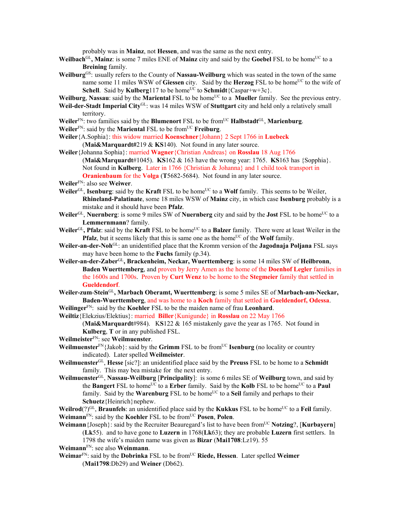probably was in **Mainz**, not **Hessen**, and was the same as the next entry.

- Weilbach<sup>GL</sup>, Mainz: is some 7 miles ENE of Mainz city and said by the Goebel FSL to be home<sup>UC</sup> to a **Breining** family.
- **Weilburg**GS: usually refers to the County of **Nassau-Weilburg** which was seated in the town of the same name some 11 miles WSW of Giessen city. Said by the **Herzog** FSL to be home<sup>UC</sup> to the wife of **Schell**. Said by **Kulberg**117 to be home<sup>UC</sup> to **Schmidt**{Caspar+w+3c}.
- **Weilburg, Nassau**: said by the **Mariental** FSL to be home<sup>UC</sup> to a **Mueller** family. See the previous entry.
- **Weil-der-Stadt Imperial City**GL: was 14 miles WSW of **Stuttgart** city and held only a relatively small territory.
- **Weiler**FN: two families said by the **Blumenort** FSL to be fromUC **Halbstadt**GL, **Marienburg**.
- **Weiler**<sup>FN</sup>: said by the **Mariental** FSL to be from<sup>UC</sup> **Freiburg**.
- **Weiler**{A.Sophia}: this widow married **Koenschner**{Johann} 2 Sept 1766 in **Luebeck**
	- (**Mai&Marquardt#**219 & **KS**140). Not found in any later source.
- **Weiler**{Johanna Sophia}: married **Wagner**{Christian Andreas} on **Rosslau** 18 Aug 1766 (**Mai&Marquardt**#1045). **KS**162 & 163 have the wrong year: 1765. **KS**163 has {Sopphia}. Not found in **Kulberg**. Later in 1766 {Christian & Johanna} and 1 child took transport in
	- **Oranienbaum** for the **Volga** (**T**5682-5684). Not found in any later source.
- **Weiler**FN: also see **Weiwer**.
- Weiler<sup>GL</sup>, **Isenburg**: said by the **Kraft** FSL to be home<sup>UC</sup> to a Wolf family. This seems to be Weiler, **Rhineland-Palatinate**, some 18 miles WSW of **Mainz** city, in which case **Isenburg** probably is a mistake and it should have been **Pfalz**.
- **Weiler**<sup>GL</sup>, **Nuernberg**: is some 9 miles SW of **Nuernberg** city and said by the **Jost** FSL to be home<sup>UC</sup> to a **Lemmernmann**? family.
- **Weiler**<sup>GL</sup>, Pfalz: said by the **Kraft** FSL to be home<sup>UC</sup> to a **Balzer** family. There were at least Weiler in the **Pfalz**, but it seems likely that this is same one as the home<sup>UC</sup> of the **Wolf** family.
- **Weiler-an-der-Noh**GL: an unidentified place that the Kromm version of the **Jagodnaja Poljana** FSL says may have been home to the **Fuchs** family (p.34).
- **Weiler-an-der-Zaber**GL**, Brackenheim, Neckar, Wuerttemberg**: is some 14 miles SW of **Heilbronn**, **Baden Wuerttemberg**, and proven by Jerry Amen as the home of the **Doenhof Legler** families in the 1600s and 1700s. Proven by **Curt Wenz** to be home to the **Stegmeier** family that settled in **Gueldendorf**.
- **Weiler-zum**-**Stein**GL**, Marbach Oberamt, Wuerttemberg**: is some 5 miles SE of **Marbach-am-Neckar, Baden-Wuerttemberg**, and was home to a **Koch** family that settled in **Gueldendorf, Odessa**.
- **Weilinger**FN: said by the **Koehler** FSL to be the maiden name of frau **Leonhard**.
- **Weiltiz**{Elekzius/Elektius}: married **Biller**{Kunigunde} in **Rosslau** on 22 May 1766
	- (**Mai&Marquardt**#984). K**S**122 & 165 mistakenly gave the year as 1765. Not found in **Kulberg**, **T** or in any published FSL.
- **Weilmeister**FN: see **Weilmuenster**.
- **Weilmuenster**FN{Jakob}: said by the **Grimm** FSL to be fromUC **Isenburg** (no locality or country indicated). Later spelled **Weilmeister**.
- **Weilmuenster**GL, **Hesse** [sic?]: an unidentified place said by the **Preuss** FSL to be home to a **Schmidt** family. This may bea mistake for the next entry.
- **Weilmuenster**GL, **Nassau-Weilburg** [**Principality**]: is some 6 miles SE of **Weilburg** town, and said by the **Bangert** FSL to home<sup>UC</sup> to a **Erber** family. Said by the **Kolb** FSL to be home<sup>UC</sup> to a **Paul** family. Said by the **Warenburg** FSL to be home<sup>UC</sup> to a **Seil** family and perhaps to their **Schuetz**{Heinrich}nephew.
- **Weilrod**(?)<sup>GL</sup>, **Braunfels**: an unidentified place said by the **Kukkus** FSL to be home<sup>UC</sup> to a Feil family. **Weimann**FN: said by the **Koehler** FSL to be fromUC **Posen**, **Polen**.
- **Weimann** {Joseph}: said by the Recruiter Beauregard's list to have been from<sup>UC</sup> **Notzing**?, [**Kurbayern**] (**Lk**55). and to have gone to **Luzern** in 1768(**Lk**63); they are probable **Luzern** first settlers. In 1798 the wife's maiden name was given as **Bizar** (**Mai1708**:Lz19). 55
- **Weimann**FN: see also **Weinmann**.
- **Weimar**FN: said by the **Dobrinka** FSL to be fromUC **Riede, Hessen**. Later spelled **Weimer** (**Mai1798**:Db29) and **Weiner** (Db62).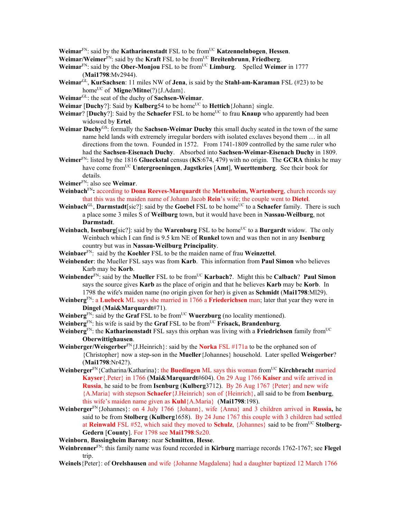**Weimar**FN: said by the **Katharinenstadt** FSL to be fromUC **Katzennelnbogen**, **Hessen**.

- **Weimar/Weimer**FN: said by the **Kraft** FSL to be fromUC **Breitenbrunn**, **Friedberg**.
- **Weimar**<sup>FN</sup>: said by the **Ober-Monjou** FSL to be from<sup>UC</sup> **Limburg**. Spelled **Weimer** in 1777 (**Mai1798**:Mv2944).
- **Weimar**GL, **KurSachsen**: 11 miles NW of **Jena**, is said by the **Stahl-am-Karaman** FSL (#23) to be home<sup>UC</sup> of **Migne/Mitne**(?){J.Adam}.
- **Weimar**GL: the seat of the duchy of **Sachsen-Weimar**.
- **Weimar** [Duchy?]: Said by **Kulberg**54 to be home<sup>UC</sup> to **Hettich**{Johann} single.
- **Weimar**? [Duchy?]: Said by the **Schaefer** FSL to be home<sup>UC</sup> to frau **Knaup** who apparently had been widowed by **Ertel**.
- **Weimar Duchy**GS: formally the **Sachsen-Weimar Duchy** this small duchy seated in the town of the same name held lands with extremely irregular borders with isolated exclaves beyond them … in all directions from the town. Founded in 1572. From 1741-1809 controlled by the same ruler who had the **Sachsen-Eisenach Duchy**. Absorbed into **Sachsen-Weimar-Eisenach Duchy** in 1809.
- **Weimer**FN: listed by the 1816 **Glueckstal** census (**KS**:674, 479) with no origin. The **GCRA** thinks he may have come fromUC **Untergroeningen**, **Jagstkries** [**Amt**], **Wuerttemberg**. See their book for details.
- **Weimer**FN: also see **Weimar**.
- **Weinbach**FN**:** according to **Dona Reeves-Marquardt** the **Mettenheim, Wartenberg**, church records say that this was the maiden name of Johann Jacob **Rein**'s wife; the couple went to **Dietel**.
- **Weinbach**<sup>GL</sup>, **Darmstadt**[sic?]: said by the **Goebel** FSL to be home<sup>UC</sup> to a **Schaefer** family. There is such a place some 3 miles S of **Weilburg** town, but it would have been in **Nassau-Weilburg**, not **Darmstadt**.
- **Weinbach, Isenburg**[sic?]: said by the **Warenburg** FSL to be home<sup>UC</sup> to a **Burgardt** widow. The only Weinbach which I can find is 9.5 km NE of **Runkel** town and was then not in any **Isenburg** country but was in **Nassau-Weilburg Principality**.
- **Weinbaer**FN: said by the **Koehler** FSL to be the maiden name of frau **Weinzettel**.
- **Weinbender**: the Mueller FSL says was from **Karb**. This information from **Paul Simon** who believes Karb may be **Korb**.
- **Weinbender**FN: said by the **Mueller** FSL to be fromUC **Karbach?**. Might this be **Calbach**? **Paul Simon** says the source gives **Karb** as the place of origin and that he believes **Karb** may be **Korb**. In 1798 the wife's maiden name (no origin given for her) is given as **Schmidt** (**Mai1798**:Ml29).
- **Weinberg**FN: a **Luebeck** ML says she married in 1766 a **Friederichsen** man; later that year they were in **Dingel** (**Mai&Marquardt**#71).
- **Weinberg**<sup>FN</sup>: said by the **Graf** FSL to be from<sup>UC</sup> **Wuerzburg** (no locality mentioned).
- **Weinberg**<sup>FN</sup>: his wife is said by the **Graf** FSL to be from<sup>UC</sup> **Frisack, Brandenburg**.
- **Weinberg**FN: the **Katharinenstadt** FSL says this orphan was living with a **Friedrichsen** family fromUC **Oberwittighausen**.
- **Weinberger/Weisgerber**FN{J.Heinrich}: said by the **Norka** FSL #171a to be the orphaned son of {Christopher} now a step-son in the **Mueller**{Johannes} household. Later spelled **Weisgerber**? (**Mai1798**:Nr42?).
- **Weinberger**<sup>FN</sup>{Catharina/Katharina}: the **Buedingen** ML says this woman from<sup>UC</sup> **Kirchbracht** married **Kayser**{.Peter} in 1766 (**Mai&Marquardt**#604). On 29 Aug 1766 **Kaiser** and wife arrived in **Russia**, he said to be from **Isenburg** (**Kulberg**3712). By 26 Aug 1767 {Peter} and new wife {A.Maria} with stepson **Schaefer**{J.Heinrich} son of {Heinrich}, all said to be from **Isenburg**, this wife's maiden name given as **Kuhl**{A.Maria} (**Mai1798**:198).
- **Weinberger**FN{Johannes}: on 4 July 1766 {Johann}, wife {Anna} and 3 children arrived in **Russia,** he said to be from **Stolberg** (**Kulberg**1658). By 24 June 1767 this couple with 3 children had settled at **Reinwald** FSL #52, which said they moved to **Schulz**, {Johannes} said to be from<sup>UC</sup> Stolberg-**Gedern** [**County**]. For 1798 see **Mai1798**:Sz20.
- **Weinborn**, **Bassingheim Barony**: near **Schmitten**, **Hesse**.
- **Weinbrenner**FN: this family name was found recorded in **Kirburg** marriage records 1762-1767; see **Flegel** trip.
- **Weinels**{Peter}: of **Orelshausen** and wife {Johanne Magdalena} had a daughter baptized 12 March 1766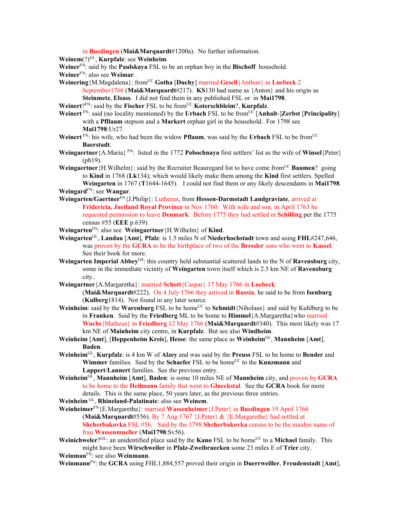in **Buedingen** (**Mai&Marquardt**#1200a). No further information.

**Weinem**(?)GL, **Kurpfalz**: see **Weinheim**.

**Weiner**FN: said by the **Paulskaya** FSL to be an orphan boy in the **Bischoff** household.

**Weiner**FN: also see **Weimar**.

- **Weinering**{M.Magdalena}: from<sup>UC</sup> Gotha [Duchy] married Gesell{Anthon} in Luebeck 2
	- September1766 (**Mai&Marquardt**#217). **KS**130 had name as {Anton} and his origin as **Steinmetz**, **Elsass**. I did not find them in any published FSL or in **Mai1798**.

**Weinert**?FN: said by the **Fischer** FSL to be fromUC **Koterschbleim**?, **Kurpfalz**.

- **Weinert** FN: said (no locality mentioned) by the **Urbach** FSL to be from<sup>UC</sup> [Anhalt-]Zerbst [Principality] with a **Pfllaum** stepson and a **Markert** orphan girl in the household. For 1798 see **Mai1798**:Ur27.
- **Weinert** FN: his wife, who had been the widow **Pflaum**, was said by the **Urbach** FSL to be fromUC **Baerstadt**.
- **Weingaertner** {A.Maria}  $F_N$ : listed in the 1772 **Pobochnaya** first settlers' list as the wife of **Winsel** {Peter} (pb19).
- **Weingaertner** {H.Wilhelm}: said by the Recruiter Beauregard list to have come from<sup>UC</sup> **Baumen**? going to **Kind** in 1768 (**Lk**134); which would likely make them among the **Kind** first settlers. Spelled **Weingarten** in 1767 (**T**1644-1645). I could not find them or any likely descendants in **Mai1798**. **Weingard**FN: see **Wangar**.
- **Weingarten/Gaertner**FN{J.Philip}: Lutheran, from **Hessen-Darmstadt Landgraviate**, arrived at **Fridericia, Juetland Royal Province** in Nov 1760. With wife and son, in April 1763 he requested permission to leave **Denmark**. Before 1775 they had settled in **Schilling** per the 1775 census #55 (**EEE** p.639).
- **Weingarten**FN: also see **Weingaertner**{H.Wilhelm} of **Kind**.
- **Weingarten**GL, **Landau** [**Amt**], **Pfalz**: is 1.5 miles N of **Niederhochstadt** town and using **FHL**#247,646, was proven by the **GCRA** to be the birthplace of two of the **Bressler** sons who went to **Kassel**. See their book for more.
- **Weingarten Imperial Abbey**GS: this country held substantial scattered lands to the N of **Ravensburg** city, some in the immediate vicinity of **Weingarten** town itself which is 2.5 km NE of **Ravensburg**  city..
- **Weingartner**{A.Margaretha}: married **Schott**{Caspar} 17 May 1766 in **Luebeck**  (**Mai&Marquardt**#222). On 4 July 1766 they arrived in **Russia**, he said to be from **Isenburg**  (**Kulberg**1814). Not found in any later source.
- **Weinheim**: said by the **Warenburg** FSL to be home<sup>UC</sup> to **Schmidt** $\{Niholaus\}$  and said by Kuhlberg to be in **Franken**. Said by the **Friedberg** ML to be home to **Himmel**{A.Margaretha}who married **Wachs**{Matheus} in **Friedberg** 12 May 1766 (**Mai&Marquardt**#340). This most likely was 17 km NE of **Mainheim** city centre, in **Kurpfalz**. But see also **Windheim**.
- **Weinheim** [**Amt**], [**Heppenheim Kreis**], **Hesse**: the same place as **Weinheim**GL, **Mannheim** [**Amt**], **Baden**.
- **Weinheim**GL, **Kurpfalz**: is 4 km W of **Alzey** and was said by the **Preuss** FSL to be home to **Bender** and **Wimmer** families. Said by the **Schaefer** FSL to be home<sup>UC</sup> to the **Kunzmann** and **Lappert**/**Lannert** families. See the previous entry.
- **Weinheim**GL, **Mannheim** [**Amt**], **Baden**: is some 10 miles NE of **Mannheim** city, and proven by **GCRA** to be home to the **Heilmann** family that went to **Glueckstal**. See the **GCRA** book for more details. This is the same place, 50 years later, as the previous three entries.

**Weinheim** GL, **Rhineland-Palatinate**: also see **Weinem**.

**Weinheimer**FN{E.Margaretha}: married **Wassenheimer**{J.Peter} in **Buedingen** 19 April 1766 (**Mai&Marquardt**#556). By 7 Aug 1767 {J.Peter} & {E.Margarethe} had settled at **Shcherbakovka** FSL #56. Said by the 1798 **Shcherbakovka** census to be the maiden name of frau **Wassenmueller** (**Mai1798**:Sv56).

**Weinichweler**?GL: an unidentified place said by the **Kano** FSL to be home<sup>UC</sup> to a **Michael** family. This might have been **Wirschweiler** in **Pfalz-Zweibruecken** some 23 miles E of **Trier** city.

**Weinman**FN: see also **Weinmann**.

**Weinmann**FN: the **GCRA** using FHL1,884,557 proved their origin in **Duerrweiller**, **Freudenstadt** [**Amt**],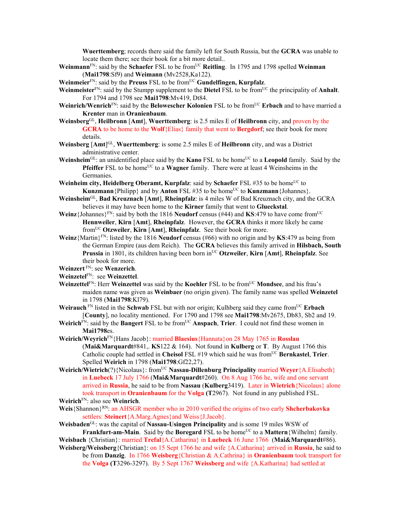**Wuerttemberg**; records there said the family left for South Russia, but the **GCRA** was unable to locate them there; see their book for a bit more detail..

**Weinmann**<sup>FN</sup>: said by the **Schaefer** FSL to be from<sup>UC</sup> **Reitling**. In 1795 and 1798 spelled **Weinman** (**Mai1798**:Sf9) and **Weimann** (Mv2528,Ka122).

**Weinmeier**FN: said by the **Preuss** FSL to be fromUC **Gundelfingen, Kurpfalz**.

- Weinmeister<sup>FN</sup>: said by the Stumpp supplement to the Dietel FSL to be from<sup>UC</sup> the principality of **Anhalt**. For 1794 and 1798 see **Mai1798**:Mv419, Dt84.
- **Weinrich/Wenrich**FN: said by the **Belowescher Kolonien** FSL to be fromUC **Erbach** and to have married a **Krenter** man in **Oranienbaum**.
- **Weinsberg**GL, **Heilbronn** [**Amt**], **Wuerttemberg**: is 2.5 miles E of **Heilbronn** city, and proven by the **GCRA** to be home to the **Wolf**{Elias} family that went to **Bergdorf**; see their book for more details.
- **Weinsberg** [**Amt**] GL, **Wuerttemberg**: is some 2.5 miles E of **Heilbronn** city, and was a District administrative center.
- **Weinsheim**<sup>GL</sup>: an unidentified place said by the **Kano** FSL to be home<sup>UC</sup> to a **Leopold** family. Said by the **Pfeiffer** FSL to be home<sup>UC</sup> to a **Wagner** family. There were at least 4 Weinsheims in the Germanies.
- **Weinheim city, Heidelberg Oberamt, Kurpfalz**: said by **Schaefer** FSL #35 to be home<sup>UC</sup> to **Kunzmann** {Philipp} and by **Anton**  $FSL$  #35 to be home<sup>UC</sup> to **Kunzmann** {Johannes}.
- **Weinsheim**GL, **Bad Kreuznach** [**Amt**], **Rheinpfalz**: is 4 miles W of Bad Kreuznach city, and the GCRA believes it may have been home to the **Kirner** family that went to **Glueckstal**.
- **Weinz**{Johannes}<sup>FN</sup>: said by both the 1816 **Neudorf** census (#44) and **KS**:479 to have come from<sup>UC</sup> **Hennweiler**, **Kirn** [**Amt**], **Rheinpfalz**. However, the **GCRA** thinks it more likely he came fromUC **Otzweiler**, **Kirn** [**Amt**], **Rheinpfalz**. See their book for more.
- **Weinz**{Martin}FN: listed by the 1816 **Neudorf** census (#66) with no origin and by **KS**:479 as being from the German Empire (aus dem Reich). The **GCRA** believes this family arrived in **Hilsbach, South Prussia** in 1801, its children having been born in<sup>UC</sup> Otzweiler, **Kirn** [Amt], **Rheinpfalz**. See their book for more.

## **Weinzert** FN: see **Wenzerich**.

**Weinzetel**FN: see **Weinzettel**.

- **Weinzettel**<sup>FN</sup>: Herr **Weinzettel** was said by the **Koehler** FSL to be from<sup>UC</sup> Mondsee, and his frau's maiden name was given as **Weinbaer** (no origin given). The family name was spelled **Weinzetel**  in 1798 (**Mai1798**:Kl79).
- **Weirauch** FN listed in the **Schwab** FSL but with nor origin; Kulhberg said they came from<sup>UC</sup> Erbach [**County**], no locality mentioned. For 1790 and 1798 see **Mai1798**:Mv2675, Db83, Sb2 and 19.
- **Weirich**<sup>FN</sup>: said by the **Bangert** FSL to be from<sup>UC</sup> **Anspach**, **Trier**. I could not find these women in **Mai1798**es.
- **Weirich/Weyrich**FN{Hans Jacob}: married **Blaesius**{Hannata}on 28 May 1765 in **Rosslau** (**Mai&Marquardt**#841,. **KS**122 & 164). Not found in **Kulberg** or **T**. By August 1766 this Catholic couple had settled in **Cheisol** FSL #19 which said he was fromUC **Bernkastel**, **Trier**. Spelled **Weirich** in 1798 (**Mai1798**:Gf22,27).
- **Weirich/Wietrich**(?){Nicolaus}: fromUC **Nassau-Dillenburg Principality** married **Weyer**{A.Elisabeth} in **Luebeck** 17 July 1766 (**Mai&Marquardt**#260). On 8 Aug 1766 he, wife and one servant arrived in **Russia**, he said to be from **Nassau** (**Kulberg**3419). Later in **Wietrich**{Nicolaus} alone took transport in **Oranienbaum** for the **Volga (T**2967). Not found in any published FSL. **Weirich**FN: also see **Weinrich**.
- **Weis**{Shannon}RN: an AHSGR member who in 2010 verified the origins of two early **Shcherbakovka**  settlers: **Steinert**{A.Marg.Agnes}and Weiss{J.Jacob}.

**Weisbaden**GL: was the capital of **Nassau-Usingen Principality** and is some 19 miles WSW of **Frankfurt-am-Main**. Said by the **Boregard** FSL to be home<sup>UC</sup> to a **Mattern**{Wilhelm} family. **Weisbach** {Christian}: married **Trefal**{A.Catharina} in **Luebeck** 16 June 1766 (**Mai&Marquardt**#86).

**Weisberg/Weissberg**{Christian}: on 15 Sept 1766 he and wife {A.Catharina} arrived in **Russia**, he said to be from **Danzig**. In 1766 **Weisberg**{Christian & A.Cathrina} in **Oranienbaum** took transport for the **Volga (T**3296-3297). By 5 Sept 1767 **Weissberg** and wife {A.Katharina} had settled at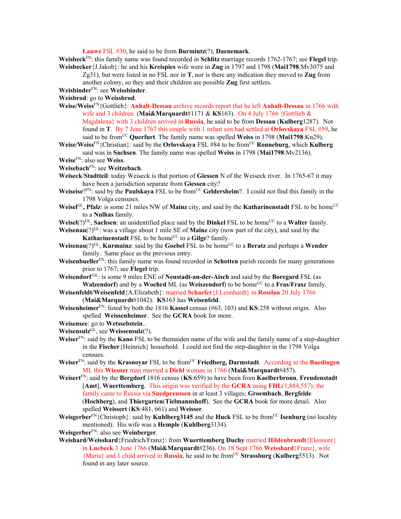**Lauwe** FSL #30, he said to be from **Burmintz**(?), **Daenemark**.

**Weisbeck**FN: this family name was found recorded in **Schlitz** marriage records 1762-1767; see **Flegel** trip. **Weisbecker**{J.Jakob}: he and his **Kreispies** wife were in **Zug** in 1797 and 1798 (**Mai1798**:Mv3075 and

Zg31), but were listed in no FSL nor in **T**, nor is there any indication they moved to **Zug** from another colony, so they and their children are possible **Zug** first settlers.

**Weisbinder**FN: see **Weissbinder**.

**Weisbrod**: go to **Weissbrod**.

- **Weise/Weiss**FN{Gottlieb}: **Anhalt-Dessau** archive records report that he left **Anhalt-Dessau** in 1766 with wife and 3 children (**Mai&Marquardt**#1171 & **KS**163). On 4 July 1766 {Gottlieb & Magdalena} with 3 children arrived in **Russia**, he said to be from **Dessau** (**Kulberg**1287). Not found in **T**. By 7 June 1767 this couple with 1 infant son had settled at **Orlovskaya** FSL #59, he said to be from<sup>UC</sup> Querfurt. The family name was spelled **Weiss** in 1798 (**Mai1798**:Kn29).
- **Weise/Weiss**<sup>FN</sup>{Christian}: said by the **Orlovskaya** FSL #84 to be from<sup>UC</sup> **Ronneburg**, which **Kulberg** said was in **Sachsen**. The family name was spelled **Weiss** in 1798 (**Mai1798**:Mv2136).

**Weise**FN: also see **Weiss**.

**Weisebach**FN: see **Weitzebach**.

**Weiseck**/**Stadtteil**: today Weiseck is that portion of **Giessen** N of the Weiseck river. In 1765-67 it may have been a jurisdiction separate from **Giessen** city?

- **Weiseise**?FN: said by the **Paulskaya** FSL to be from<sup>UC</sup> Geldersheim?. I could not find this family in the 1798 Volga censuses.
- **Weisel**<sup>GL</sup>, **Pfalz**: is some 21 miles NW of **Mainz** city, and said by the **Katharinenstadt** FSL to be home<sup>UC</sup> to a **Nulhas** family.
- **Weisel**( $?$ )<sup>GL</sup>, **Sachsen**: an unidentified place said by the **Dinkel** FSL to be home<sup>UC</sup> to a **Walter** family.

**Weisenau**(?)<sup>GL</sup>: was a village about 1 mile SE of **Mainz** city (now part of the city), and said by the **Katharinenstadt** FSL to be home<sup>UC</sup> to a Gilge? family.

**Weisenau**(?)<sup>GL</sup>, **Kurmainz**: said by the **Goebel** FSL to be home<sup>UC</sup> to a **Beratz** and perhaps a **Wender** family. Same place as the previous entry.

**Weisenbueller**FN: this family name was found recorded in **Schotten** parish records for many generations prior to 1767; see **Flegel** trip.

**Weisendorf** GL: is some 9 miles ENE of **Neustadt-an-der-Aisch** and said by the **Boregard** FSL (as **Walzendorf**) and by a **Woehrd** ML (as **Weiszendorf**) to be home<sup>UC</sup> to a **Fras/Frasz** family.

**Weisenfeldt/Weisenfeld**{A.Elizabeth}: married **Schaefer**{J.Leonhardt} in **Rosslau** 20 July 1766 (**Mai&Marquardt**#1042). **KS**163 has **Weisenfeld**.

**Weisenheimer**FN: listed by both the 1816 **Kassel** census (#63, 103) and **KS**:258 without origin. Also spelled **Weissenheimer**. See the **GCRA** book for more.

**Weisensee**: go to **Wetssebstein**..

**Weisensulz**GL, see **Weissensulz**(?).

**Weiser**FN: said by the **Kano** FSL to be themaiden name of the wife and the family name of a step-daughter in the **Fischer**{Heinrich} household. I could not find the step-daughter in the 1798 Volga censues.

**Weiser**FN: said by the **Krasnoyar** FSL to be fromUC **Friedberg, Darmstadt**. According to the **Buedingen** ML this **Wiesner** man married a **Diehl** woman in 1766 (**Mai&Marquardt**#457).

**Weisert**FN: said by the **Bergdorf** 1816 census (**KS**:659) to have been from **Kaelberbronn**, **Freudenstadt** [**Amt**], **Wuerttemberg**. This origin was verified by the **GCRA** using **FHL**(1,884,557); the family came to Russia via **Suedpreussen** in at least 3 villages: **Groembach**, **Bergfelde**  (**Hochberg**), and **Thiergarten**(**Tielmannshoff**). See the **GCRA** book for more detail. Also spelled **Weissert** (**KS**:481, 661) and **Weisser**.

**Weisgerber**FN{Christoph}: said by **Kuhlberg3145** and the **Huck** FSL to be fromUC **Isenburg** (no locality mentioned). His wife was a **Hemple** (**Kuhlberg**3134).

**Weisgerber**FN: also see **Weinberger**.

**Weishard/Weisshard**{Friedrich/Franz}: from **Wuerttemberg Duchy** married **Hildenbrandt**{Eleonore} in **Luebeck** 3 June 1766 (**Mai&Marquardt**#236). On 18 Sept 1766 **Weisshard**{Franz}, wife {Maria} and 1 child arrived in **Russia**, he said to be fromUC **Strassburg** (**Kulberg**5513). Not found in any later source.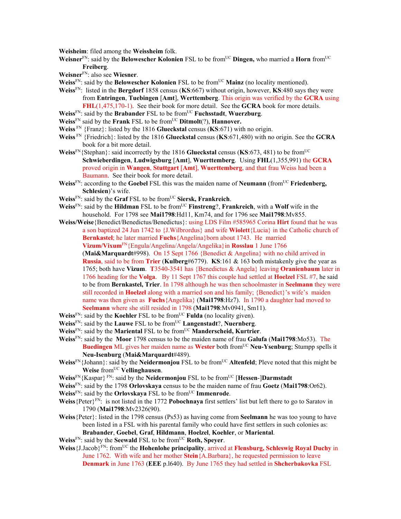**Weisheim**: filed among the **Weissheim** folk.

- **Weisner**FN: said by the **Belowescher Kolonien** FSL to be fromUC **Dingen,** who married a **Horn** fromUC **Freiberg**.
- **Weisner**FN: also see **Wiesner**.
- **Weiss**<sup>FN</sup>: said by the **Belowescher Kolonien** FSL to be from<sup>UC</sup> Mainz (no locality mentioned).
- **Weiss**FN: listed in the **Bergdorf** 1858 census (**KS**:667) without origin, however, **KS**:480 says they were from **Entringen**, **Tuebingen** [**Amt**], **Werttemberg**. This origin was verified by the **GCRA** using **FHL**(1,475,170-1). See their book for more detail. See the **GCRA** book for more details. **Weiss**FN: said by the **Brabander** FSL to be fromUC **Fuchsstadt**, **Wuerzburg**.
- **Weiss**<sup>FN</sup> said by the **Frank** FSL to be from<sup>UC</sup> Ditmolt(?), **Hannover.**
- 
- **Weiss** FN {Franz}: listed by the 1816 **Glueckstal** census (**KS**:671) with no origin.
- **Weiss** FN {Friedrich}: listed by the 1816 **Glueckstal** census (**KS**:671,480) with no origin. See the **GCRA** book for a bit more detail.
- **Weiss**FN{Stephan}: said incorrectly by the 1816 **Glueckstal** census (**KS**:673, 481) to be fromUC **Schwieberdingen**, **Ludwigsburg** [**Amt**], **Wuerttemberg**. Using **FHL**(1,355,991) the **GCRA** proved origin in **Wangen**, **Stuttgart** [**Amt**], **Wuerttemberg**, and that frau Weiss had been a Baumann. See their book for more detail.
- **Weiss**<sup>FN</sup>: according to the **Goebel** FSL this was the maiden name of **Neumann** (from<sup>UC</sup> **Friedenberg, Schlesien**)'s wife.
- **Weiss**<sup>FN</sup>: said by the **Graf** FSL to be from<sup>UC</sup> **Siersk, Frankreich**.
- **Weiss**FN: said by the **Hildman** FSL to be fromUC **Finstreng**?, **Frankreich**, with a **Wolf** wife in the household. For 1798 see **Mai1798**:Hd11, Km74, and for 1796 see **Mai1798**:Mv855.
- **Weiss/Weise**{Benedict/Benedictus/Benedictus}: using LDS Film #585965 Corina **Hirt** found that he was a son baptized 24 Jun 1742 to {J.Wilbrordus} and wife **Wiolett**{Lucia} in the Catholic church of **Bernkastel**; he later married **Fuchs**{Angelina}born about 1743. He married **Vizum/Vixum**FN{Engula/Angelina/Angela/Angelika}in **Rosslau** 1 June 1766 (**Mai&Marquardt**#998). On 15 Sept 1766 {Benedict & Angelina} with no child arrived in **Russia**, said to be from **Trier** (**Kulberg**#6779). **KS**:161 & 163 both mistakenly give the year as 1765; both have **Vizum**. **T**3540-3541 has {Benedictus & Angela} leaving **Oranienbaum** later in 1766 heading for the **Volga**. By 11 Sept 1767 this couple had settled at **Hoelzel** FSL #7, he said to be from **Bernkastel, Trier**. In 1798 although he was then schoolmaster in **Seelmann** they were still recorded in **Hoelzel** along with a married son and his family; {Benedict}'s wife's maiden name was then given as **Fuchs**{Angelika} (**Mai1798**:Hz7). In 1790 a daughter had moved to **Seelmann** where she still resided in 1798 (**Mai1798**:Mv0941, Sm11).
- **Weiss**<sup>FN</sup>: said by the **Koehler** FSL to be from<sup>UC</sup> **Fulda** (no locality given).
- **Weiss**FN: said by the **Lauwe** FSL to be fromUC **Langenstadt**?, **Nuernberg**.
- **Weiss**FN: said by the **Mariental** FSL to be fromUC **Manderscheid, Kurtrier**.
- **Weiss**FN: said by the **Moor** 1798 census to be the maiden name of frau **Galufa** (**Mai1798**:Mo53). The **Buedingen** ML gives her maiden name as Wester both from<sup>UC</sup> Neu-Ysenburg; Stumpp spells it **Neu-Isenburg** (**Mai&Marquardt**#489).
- **Weiss**<sup>FN</sup>{Johann}: said by the **Neidermonjou** FSL to be from<sup>UC</sup> **Altenfeld**; Pleve noted that this might be **Weise** fromUC **Vellinghausen**.
- **Weiss**FN{Kaspar} FN: said by the **Neidermonjou** FSL to be fromUC [**Hessen**-]**Darmstadt**
- **Weiss**FN: said by the 1798 **Orlovskaya** census to be the maiden name of frau **Goetz** (**Mai1798**:Or62).
- **Weiss**<sup>FN</sup>: said by the **Orlovskaya** FSL to be from<sup>UC</sup> **Immenrode**.
- **Weiss**{Peter}FN: is not listed in the 1772 **Pobochnaya** first settlers' list but left there to go to Saratov in 1790 (**Mai1798**:Mv2326(90).
- **Weiss**{Peter}: listed in the 1798 census (Ps53) as having come from **Seelmann** he was too young to have been listed in a FSL with his parental family who could have first settlers in such colonies as: **Brabander**, **Goebel**, **Graf**, **Hildmann**, **Hoelzel**, **Koehler**, or **Mariental**.
- **Weiss**FN: said by the **Seewald** FSL to be fromUC **Roth, Speyer**.
- **Weiss**{J.Jacob}FN: fromUC the **Hohenlohe principality**, arrived at **Flensburg, Schleswig Royal Duchy** in June 1762. With wife and her mother **Stein**{A.Barbara}, he requested permission to leave **Denmark** in June 1763 (**EEE** p.l640). By June 1765 they had settled in **Shcherbakovka** FSL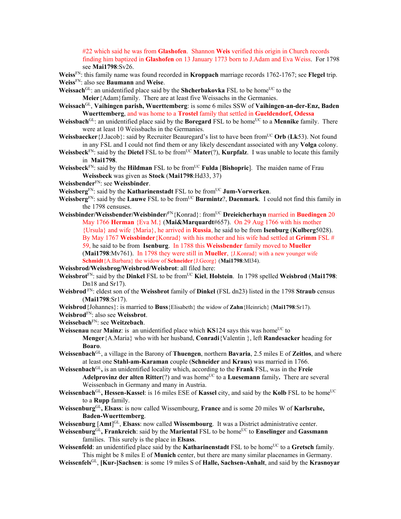#22 which said he was from **Glashofen**. Shannon **Weis** verified this origin in Church records finding him baptized in **Glashofen** on 13 January 1773 born to J.Adam and Eva Weiss. For 1798 see **Mai1798**:Sv26.

**Weiss**FN: this family name was found recorded in **Kroppach** marriage records 1762-1767; see **Flegel** trip. **Weiss**FN: also see **Baumann** and **Weise**.

**Weissach**<sup>GL</sup>: an unidentified place said by the **Shcherbakovka** FSL to be home<sup>UC</sup> to the **Meier**{Adam}family. There are at least five Weissachs in the Germanies.

- **Weissach**GL, **Vaihingen parish, Wuerttemberg**: is some 6 miles SSW of **Vaihingen-an-der-Enz, Baden Wuerttemberg**, and was home to a **Trostel** family that settled in **Gueldendorf, Odessa**
- **Weissbach**<sup>GL</sup>: an unidentified place said by the **Boregard** FSL to be home<sup>UC</sup> to a **Mennike** family. There were at least 10 Weissbachs in the Germanies.
- **Weissbaecker**{J.Jacob}: said by Recruiter Beauregard's list to have been from<sup>UC</sup> Orb (Lk53). Not found in any FSL and I could not find them or any likely descendant associated with any **Volga** colony.
- **Weissbeck**<sup>FN</sup>: said by the **Dietel** FSL to be from<sup>UC</sup> **Mater**(?), **Kurpfalz**. I was unable to locate this family in **Mai1798**.
- **Weissbeck**FN: said by the **Hildman** FSL to be fromUC **Fulda** [**Bishopric**]. The maiden name of Frau **Weissbeck** was given as **Stock** (**Mai1798**:Hd33, 37)
- **Weissbender**FN: see **Weissbinder**.

**Weissberg**FN: said by the **Katharinenstadt** FSL to be fromUC **Jum-Vorwerken**.

- **Weissberg**FN: said by the **Lauwe** FSL to be fromUC **Burmintz**?, **Daenmark**. I could not find this family in the 1798 censuses.
- **Weissbinder/Weissbender/Weisbinder/**FN{Konrad}: fromUC **Dreieicherhayn** married in **Buedingen** 20 May 1766 **Herman** {Eva M.} (**Mai&Marquardt**#657). On 29 Aug 1766 with his mother {Ursula} and wife {Maria}, he arrived in **Russia**, he said to be from **Isenburg** (**Kulberg**5028). By May 1767 **Weissbinder**{Konrad} with his mother and his wife had settled at **Grimm** FSL # 59, he said to be from **Isenburg**. In 1788 this **Weissbender** family moved to **Mueller**  (**Mai1798**:Mv761). In 1798 they were still in **Mueller**, {J.Konrad} with a new younger wife **Schmidt**{A.Barbara} the widow of **Schneider**{J.Georg} (**Mai1798**:Ml34).

**Weissbrod/Weissbrog/Weisbrod/Weisbrot**: all filed here:

- **Weissbrot**FN: said by the **Dinkel** FSL to be fromUC **Kiel**, **Holstein**. In 1798 spelled **Weisbrod** (**Mai1798**: Dn18 and Sr17).
- **Weisbrod** FN: eldest son of the **Weissbrot** family of **Dinkel** (FSL dn23) listed in the 1798 **Straub** census (**Mai1798**:Sr17).
- **Weisbrod**{Johannes}: is married to **Buss**{Elisabeth} the widow of **Zahn**{Heinrich} (**Mai1798**:Sr17).
- **Weisbrod**FN: also see **Weissbrot**.
- **Weissebach**FN: see **Weitzebach**.
- **Weissenau** near **Mainz**: is an unidentified place which  $KS124$  says this was home<sup>UC</sup> to **Menger**{A.Maria} who with her husband, **Conradi**{Valentin }, left **Randesacker** heading for **Boaro**.
- **Weissenbach**GL, a village in the Barony of **Thuengen**, northern **Bavaria**, 2.5 miles E of **Zeitlos**, and where at least one **Stahl-am-Karaman** couple (**Schneider** and **Kraus**) was married in 1766.
- **Weissenbach**GL**,** is an unidentified locality which, according to the **Frank** FSL, was in the **Freie Adelprovinz der alten Ritter**(?) and was home<sup>UC</sup> to a **Luesemann** family. There are several Weissenbach in Germany and many in Austria.
- **Weissenbach**<sup>GL</sup>, Hessen-Kassel: is 16 miles ESE of Kassel city, and said by the Kolb FSL to be home<sup>UC</sup> to a **Rupp** family.
- **Weissenburg**GL**, Elsass**: is now called Wissembourg, **France** and is some 20 miles W of **Karlsruhe, Baden-Wuerttemberg**.
- **Weissenburg** [**Amt**] GL, **Elsass**: now called **Wissembourg**. It was a District administrative center.
- **Weissenburg**GL**, Frankreich**: said by the **Mariental** FSL to be homeUC to **Enselinger** and **Gassmann** families. This surely is the place in **Elsass**.
- Weissenfeld: an unidentified place said by the **Katharinenstadt** FSL to be home<sup>UC</sup> to a Gretsch family. This might be 8 miles E of **Munich** center, but there are many similar placenames in Germany.

**Weissenfels**GL, **[Kur-]Sachsen**: is some 19 miles S of **Halle, Sachsen-Anhalt**, and said by the **Krasnoyar**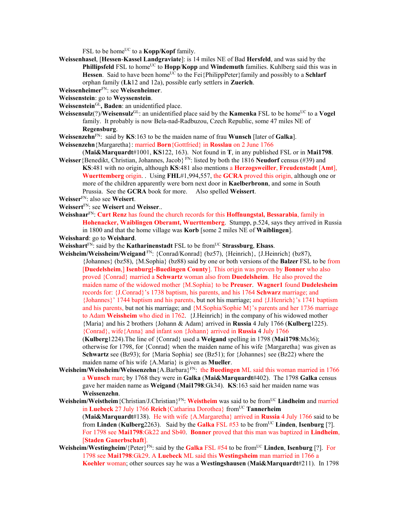FSL to be home<sup>UC</sup> to a **Kopp/Kopf** family.

**Weissenhasel**, [**Hessen**-**Kassel Landgraviate**]: is 14 miles NE of Bad **Hersfeld**, and was said by the **Phillipsfeld** FSL to home<sup>UC</sup> to **Hopp/Kopp** and **Windemuth** families. Kuhlberg said this was in **Hessen**. Said to have been home<sup>UC</sup> to the Fei{PhilippPeter}family and possibly to a **Schlarf** orphan family (**Lk**12 and 12a), possible early settlers in **Zuerich**.

**Weissenheimer**FN: see **Weisenheimer**.

**Weissenstein**: go to **Weyssenstein**.

- **Weissenstein**GL**, Baden**: an unidentified place.
- **Weissensulz**(?)/**Weisensulz**<sup>GL</sup>: an unidentified place said by the **Kamenka** FSL to be home<sup>UC</sup> to a **Vogel** family. It probably is now Bela-nad-Radbuzou, Czech Republic, some 47 miles NE of **Regensburg**.
- **Weissenzehn**FN: said by **KS**:163 to be the maiden name of frau **Wunsch** [later of **Galka**].

**Weissenzehn**{Margaretha}: married **Born**{Gottfried} in **Rosslau** on 2 June 1766

- (**Mai&Marquardt**#1001, **KS**122, 163). Not found in **T**, in any published FSL or in **Mai1798**. **Weisser**{Benedikt, Christian, Johannes, Jacob} FN: listed by both the 1816 **Neudorf** census (#39) and **KS**:481 with no origin, although **KS**:481 also mentions a **Herzogsweiller**, **Freudenstadt** [**Amt**],
	- **Wuerttemberg** origin. . Using **FHL**#1,994,557, the **GCRA** proved this origin, although one or more of the children apparently were born next door in **Kaelberbronn**, and some in South Prussia. See the **GCRA** book for more. Also spelled **Weissert**.

**Weisser**FN: also see **Weisert**.

- **Weissert**FN: see **Weisert** and **Weisser**..
- **Weisshaar**FN: **Curt Renz** has found the church records for this **Hoffnungstal, Bessarabia**, family in **Hohenacker, Waiblingen Oberamt, Wuerttemberg**. Stumpp, p.524, says they arrived in Russia in 1800 and that the home village was **Korb** [some 2 miles NE of **Waiblingen**].

**Weisshard**: go to **Weishard**.

**Weisshart**FN: said by the **Katharinenstadt** FSL to be fromUC **Strassburg**, **Elsass**.

**Weisheim/Weissheim/Weigand** FN: {Conrad/Konrad} (bz57), {Heinrich}, {J.Heinrich} (bz87), {Johannes} (bz58), {M.Sophia} (bz88) said by one or both versions of the **Balzer** FSL to be from [**Duedelsheim**,] **Isenburg[-Buedingen County**]. This origin was proven by **Bonner** who also proved {Conrad} married a **Schwartz** woman also from **Duedelsheim**. He also proved the maiden name of the widowed mother {M.Sophia} to be **Preuser**. **Wagner1** found **Dudelesheim** records for: {J.Conrad}'s 1738 baptism, his parents, and his 1764 **Schwarz** marriage; and {Johannes}' 1744 baptism and his parents, but not his marriage; and {J.Henrich}'s 1741 baptism and his parents, but not his marriage; and {M.Sophia/Sophie M}'s parents and her 1736 marriage to Adam **Weissheim** who died in 1762. {J.Heinrich} in the company of his widowed mother {Maria} and his 2 brothers {Johann & Adam} arrived in **Russia** 4 July 1766 (**Kulberg**1225). {Conrad}, wife{Anna} and infant son {Johann} arrived in **Russia** 4 July 1766

(**Kulberg**1224).The line of {Conrad} used a **Weigand** spelling in 1798 (**Mai1798**:Ms36); otherwise for 1798, for {Conrad} when the maiden name of his wife {Margaretha} was given as **Schwartz** see (Bz93); for {Maria Sophia} see (Bz51); for {Johannes} see (Bz22) where the maiden name of his wife {A.Maria} is given as **Mueller**.

- **Weisheim/Weissheim/Weissenzehn**{A.Barbara}FN: the **Buedingen** ML said this woman married in 1766 a **Wunsch** man; by 1768 they were in **Galka** (**Mai&Marquardt**#402). The 1798 **Galka** census gave her maiden name as **Weigand** (**Mai1798**:Gk34). **KS**:163 said her maiden name was **Weissenzehn**.
- **Weisheim/Weistheim**{Christian/J.Christian}FN: **Weistheim** was said to be fromUC **Lindheim** and married in Luebeck 27 July 1766 Reich {Catharina Dorothea} from<sup>UC</sup> Tannerheim (**Mai&Marquardt**#138). He with wife {A.Margaretha} arrived in **Russia** 4 July 1766 said to be from **Linden** (**Kulberg**2263). Said by the **Galka** FSL #53 to be fromUC **Linden**, **Isenburg** [?]. For 1798 see **Mai1798**:Gk22 and Sb40. **Bonner** proved that this man was baptized in **Lindheim**, [**Staden Ganerbschaft**].
- **Weisheim/Westingheim/**{Peter}FN: said by the **Galka** FSL #54 to be fromUC **Linden**, **Isenburg** [?]. For 1798 see **Mai1798**:Gk29. A **Luebeck** ML said this **Westingsheim** man married in 1766 a **Koehler** woman; other sources say he was a **Westingshausen** (**Mai&Marquardt**#211). In 1798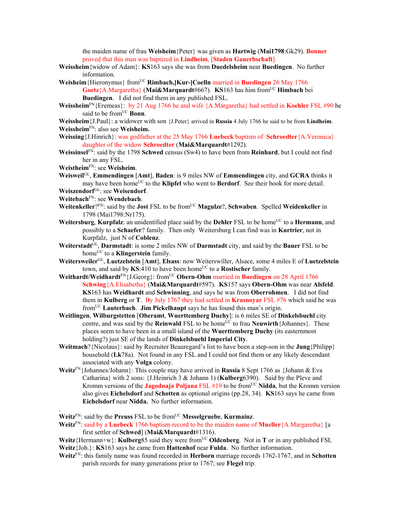the maiden name of frau **Weisheim**{Peter} was given as **Hartwig** (**Mai1798**:Gk29). **Bonner** proved that this man was baptized in **Lindheim**, [**Staden Ganerbschaft**].

- **Weissheim**{widow of Adam}: **KS**163 says she was from **Duedelsheim** near **Buedingen**. No further information.
- **Weisheim**{Hieronymus} fromUC **Rimbach,[Kur-]Coelln** married in **Buedingen** 26 May 1766 **Goetz**{A.Margaretha} (Mai&Marquardt#667). **KS**163 has him from<sup>UC</sup> **Himbach** bei **Buedingen**. I did not find them in any published FSL.
- **Weissheim**FN{Eremeas}: by 21 Aug 1766 he and wife {A.Margaretha} had settled in **Koehler** FSL #90 he said to be from<sup>UC</sup> **Bonn**.
- **Weissheim**{J.Paul}: a widower with son {J.Peter} arrived in **Russia** 4 July 1766 he said to be from **Lindheim**. **Weissheim**FN: also see **Weisheim.**
- **Weissing**{J.Hinrich}: was godfather at the 25 May 1766 **Luebeck** baptism of **Schroedter**{A.Veronica} daughter of the widow **Schroedter** (**Mai&Marquardt**#1292).
- **Weissinsel**FN: said by the 1798 **Schwed** census (Sw4) to have been from **Reinhard**, but I could not find her in any FSL.
- **Weistheim**FN: see **Weisheim**.
- **Weisweil**GL, **Emmendingen** [**Amt**], **Baden**: is 9 miles NW of **Emmendingen** city, and **GCRA** thinks it may have been home<sup>UC</sup> to the **Klipfel** who went to **Berdorf**. See their book for more detail.
- **Weiszendorf**GL: see **Weisendorf**.
- **Weitebach**FN: see **Wendebach**.

.

- **Weitenkeller**?FN: said by the **Jost** FSL to be fromUC **Magulze**?, **Schwaben**. Spelled **Weidenkeller** in 1798 (Mai1798:Nr175).
- **Weitersburg, Kurpfalz**: an unidentified place said by the **Dehler** FSL to be home<sup>UC</sup> to a **Hermann**, and possibly to a **Schaefer**? family. Then only Weitersburg I can find was in **Kurtrier**, not in Kurpfalz, just N of **Coblenz**.
- **Weiterstadt**GL, **Darmstadt**: is some 2 miles NW of **Darmstadt** city, and said by the **Bauer** FSL to be home<sup>UC</sup> to a **Klingerstein** family.
- **Weitersweiler**GL, **Luetzelstein** [**Amt**], **Elsass**: now Weiterswiller, Alsace, some 4 miles E of **Luetzelstein** town, and said by **KS**:410 to have been home<sup>UC</sup> to a **Rostischer** family.
- Weithardt/Weidhardt<sup>FN</sup>{J.Georg}: from<sup>UC</sup> Obern-Ohm married in Buedingen on 28 April 1766 **Schwing**{A.Elisabetha} (**Mai&Marquardt**#597). **KS**157 says **Obern-Ohm** was near **Alsfeld**. **KS**163 has **Weidhardt** and **Schwinning**, and says he was from **Oberrohmen**. I did not find them in **Kulberg** or **T**. By July 1767 they had settled in **Krasnoyar** FSL #76 which said he was fromUC **Lauterbach**. **Jim Pickelhaupt** says he has found this man's origin.
- **Weitlingen**, **Wilburgstetten** [**Oberamt**, **Wuerttemberg Duchy**]: is 6 miles SE of **Dinkelsbuehl** city centre, and was said by the **Reinwald** FSL to be home<sup>UC</sup> to frau **Neuwirth** {Johannes}. These places seem to have been in a small island of the **Wuerttemberg Duchy** (its easternmost holding?) just SE of the lands of **Dinkelsbuehl Imperial City**.
- **Weitmach**?{Nicolaus}: said by Recruiter Beauregard's list to have been a step-son in the **Jung**{Philipp} household (**Lk**78a). Not found in any FSL and I could not find them or any likely descendant associated with any **Volga** colony.
- **Weitz**FN{Johannes/Johann}: This couple may have arrived in **Russia** 8 Sept 1766 as {Johann & Eva Catharina} with 2 sons: {J.Heinrich 3 & Johann 1) (**Kulberg**6390). Said by the Pleve and Kromm versions of the **Jagodnaja Poljana** FSL #19 to be fromUC **Nidda**, but the Kromm version also gives **Eichelsdorf** and **Schotten** as optional origins (pp.28, 34). **KS**163 says he came from **Eichelsdorf** near **Nidda.** No further information.

**Weitz**FN: said by the **Preuss** FSL to be fromUC **Messelgruebe**, **Kurmainz**.

- **Weitz**FN: said by a **Luebeck** 1766 baptism record to be the maiden name of **Mueller**{A.Margaretha} [a first settler of **Schwed**] (**Mai&Marquardt**#1316).
- **Weitz**{Hermann+w}: **Kulberg**85 said they were from<sup>UC</sup> Oldenberg. Not in **T** or in any published FSL **Weitz**{Joh.}: **KS**163 says he came from **Hattenhof** near **Fulda**. No further information.
- **Weitz**FN: this family name was found recorded in **Herborn** marriage records 1762-1767, and in **Schotten** parish records for many generations prior to 1767; see **Flegel** trip.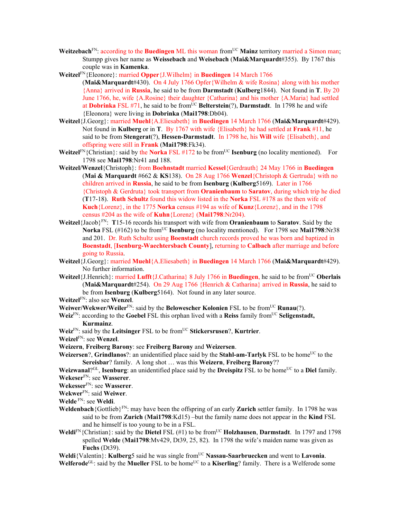- **Weitzebach**<sup>FN</sup>: according to the **Buedingen** ML this woman from<sup>UC</sup> Mainz territory married a Simon man; Stumpp gives her name as **Weissebach** and **Weisebach** (**Mai&Marquardt**#355). By 1767 this couple was in **Kamenka**.
- **Weitzel**FN{Eleonore}: married **Opper**{J.Wilhelm} in **Buedingen** 14 March 1766
	- (**Mai&Marquardt**#430). On 4 July 1766 Opfer{Wilhelm & wife Rosina} along with his mother {Anna} arrived in **Russia**, he said to be from **Darmstadt** (**Kulberg**1844). Not found in **T**. By 20 June 1766, he, wife {A.Rosine} their daughter {Catharina} and his mother {A.Maria} had settled at **Dobrinka** FSL #71, he said to be fromUC **Belterstein**(?), **Darmstadt**. In 1798 he and wife {Eleonora} were living in **Dobrinka** (**Mai1798**:Db04).
- **Weitzel**{J.Georg}: married **Muehl**{A.Eliesabeth} in **Buedingen** 14 March 1766 (**Mai&Marquardt**#429). Not found in **Kulberg** or in **T**. By 1767 with wife {Elisabeth} he had settled at **Frank** #11, he said to be from **Stengerat**(?), **Hessen-Darmstadt**. In 1798 he, his **Will** wife {Elisabeth}, and offspring were still in **Frank** (**Mai1798**:Fk34).
- **Weitzel**<sup>FN</sup>{Christian}: said by the **Norka** FSL #172 to be from<sup>UC</sup> **Isenburg** (no locality mentioned). For 1798 see **Mai1798**:Nr41 and 188.
- **Weitzel/Wenzel**{Christoph}: from **Boehnstadt** married **Kessel**{Gerdrauth} 24 May 1766 in **Buedingen** (**Mai & Marquardt** #662 & **KS**138). On 28 Aug 1766 **Wenzel**{Christoph & Gertruda} with no children arrived in **Russia**, he said to be from **Isenburg** (**Kulberg**5169). Later in 1766 {Christoph & Gerdruta} took transport from **Oranienbaum** to **Saratov**, during which trip he died (**T**17-18). **Ruth Schultz** found this widow listed in the **Norka** FSL #178 as the then wife of **Kuch**{Lorenz}, in the 1775 **Norka** census #194 as wife of **Kunz**{Lorenz}, and in the 1798 census #204 as the wife of **Kuhn**{Lorenz} (**Mai1798**:Nr204).
- **Weitzel**{Jacob}FN: **T**15-16 records his transport with wife from **Oranienbaum** to **Saratov**. Said by the **Norka** FSL (#162) to be from<sup>UC</sup> **Isenburg** (no locality mentioned). For 1798 see **Mai1798**:Nr38 and 201. Dr. Ruth Schultz using **Boenstadt** church records proved he was born and baptized in **Boenstadt**, [**Isenburg-Waechtersbach County**], returning to **Calbach** after marriage and before going to Russia.
- **Weitzel**{J.Georg}: married **Muehl**{A.Eliesabeth} in **Buedingen** 14 March 1766 (**Mai&Marquardt**#429). No further information.
- **Weitzel**{J.Henrich}: married **Lufft**{J.Catharina} 8 July 1766 in **Buedingen**, he said to be fromUC **Oberlais** (**Mai&Marquardt**#254). On 29 Aug 1766 {Henrich & Catharina} arrived in **Russia**, he said to be from **Isenburg** (**Kulberg**5164). Not found in any later source.
- **Weitzel**FN: also see **Wenzel**.
- **Weiwer/Wekwer/Weiler<sup>FN</sup>: said by the <b>Belowescher Kolonien** FSL to be from<sup>UC</sup> **Runau**(?).
- **Weiz**<sup>FN</sup>: according to the **Goebel** FSL this orphan lived with a **Reiss** family from<sup>UC</sup> **Seligenstadt, Kurmainz**.
- **Weiz**<sup>FN</sup>: said by the **Leitsinger** FSL to be from<sup>UC</sup> Stickersrusen?, **Kurtrier**.

**Weizel**FN: see **Wenzel**.

- **Weizern**, **Freiberg Barony**: see **Freiberg Barony** and **Weizersen**.
- **Weizersen?, Grindlanos?:** an unidentified place said by the **Stahl-am-Tarlyk** FSL to be home<sup>UC</sup> to the **Sereisbar**? family. A long shot … was this **Weizern**, **Freiberg Barony**??
- Weizwanal?<sup>GL</sup>, **Isenburg**: an unidentified place said by the **Dreispitz** FSL to be home<sup>UC</sup> to a **Diel** family. **Wekeser**FN: see **Wasserer**.

**Wekesser**FN: see **Wasserer**.

**Wekwer**FN: said **Weiwer**.

**Welde** FN: see **Weldi**.

- **Weldenbach**{Gottlieb}FN: may have been the offspring of an early **Zurich** settler family. In 1798 he was said to be from **Zurich** (**Mai1798**:Kd15) –but the family name does not appear in the **Kind** FSL and he himself is too young to be in a FSL.
- **Weldi**FN{Christian}: said by the **Dietel** FSL (#1) to be from<sup>UC</sup> **Holzhausen**, **Darmstadt**. In 1797 and 1798 spelled **Welde** (**Mai1798**:Mv429, Dt39, 25, 82). In 1798 the wife's maiden name was given as **Fuchs** (Dt39).

**Weldi**{Valentin}: **Kulberg**5 said he was single fromUC **Nassau-Saarbruecken** and went to **Lavonia**. **Welferode**<sup>GL</sup>: said by the **Mueller** FSL to be home<sup>UC</sup> to a **Kiserling**? family. There is a Welferode some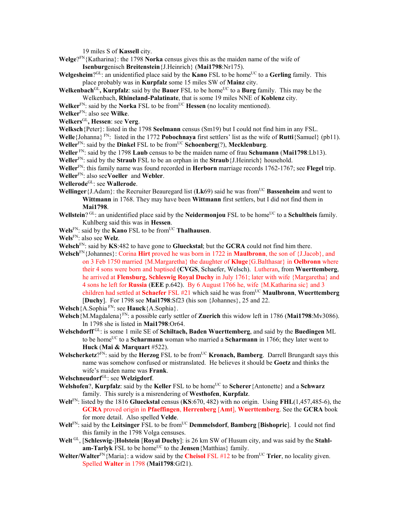19 miles S of **Kassell** city.

- **Welge**?FN{Katharina}: the 1798 **Norka** census gives this as the maiden name of the wife of **Isenburg**enisch **Breitenstein**{J.Heinrich} (**Mai1798**:Nr175).
- **Welgesheim**?<sup>GL</sup>: an unidentified place said by the **Kano** FSL to be home<sup>UC</sup> to a **Gerling** family. This place probably was in **Kurpfalz** some 15 miles SW of **Mainz** city.
- **Welkenbach**<sup>GL</sup>, **Kurpfalz**: said by the **Bauer** FSL to be home<sup>UC</sup> to a **Burg** family. This may be the Welkenbach, **Rhineland-Palatinate**, that is some 19 miles NNE of **Koblenz** city.
- **Welker**<sup>FN</sup>: said by the **Norka** FSL to be from<sup>UC</sup> **Hessen** (no locality mentioned).
- **Welker**FN: also see **Wilke**.
- **Welkers**GL**, Hessen**: see **Verg**.
- **Welksch**{Peter}: listed in the 1798 **Seelmann** census (Sm19) but I could not find him in any FSL.

**Welle**{Johanna} FN: listed in the 1772 **Pobochnaya** first settlers' list as the wife of **Rutti**{Samuel} (pb11). **Weller**<sup>FN</sup>: said by the **Dinkel** FSL to be from<sup>UC</sup> **Schoenberg**(?), **Mecklenburg**.

**Weller** FN: said by the 1798 **Laub** census to be the maiden name of frau **Schumann** (**Mai1798**:Lb13).

**Weller**FN: said by the **Straub** FSL to be an orphan in the **Straub**{J.Heinrich} household.

**Weller**FN: this family name was found recorded in **Herborn** marriage records 1762-1767; see **Flegel** trip. **Weller**FN: also see**Voeller** and **Webler**.

- **Wellerode**GL: see **Wallerode**.
- Wellinger {J.Adam}: the Recruiter Beauregard list (Lk69) said he was from<sup>UC</sup> Bassenheim and went to **Wittmann** in 1768. They may have been **Wittmann** first settlers, but I did not find them in **Mai1798**.
- **Wellstein**? GL: an unidentified place said by the **Neidermonjou** FSL to be home<sup>UC</sup> to a **Schultheis** family. Kuhlberg said this was in **Hessen**.
- **Wels**FN: said by the **Kano** FSL to be fromUC **Thalhausen**.

**Wels**FN: also see **Welz**.

**Welsch**FN: said by **KS**:482 to have gone to **Glueckstal**; but the **GCRA** could not find him there.

- **Welsch**FN{Johannes}: Corina **Hirt** proved he was born in 1722 in **Maulbronn**, the son of {J.Jacob}, and on 3 Feb 1750 married {M.Margaretha} the daughter of **Kluge**{G.Balthasar} in **Oelbronn** where their 4 sons were born and baptised (**CVGS**, Schaefer, Welsch). Lutheran, from **Wuerttemberg**, he arrived at **Flensburg, Schleswig Royal Duchy** in July 1761; later with wife {Margaretha} and 4 sons he left for **Russia** (**EEE** p.642). By 6 August 1766 he, wife {M.Katharina sic} and 3 children had settled at **Schaefer** FSL #21 which said he was from<sup>UC</sup> **Maulbronn**, **Wuerttemberg** [**Duchy**]. For 1798 see **Mai1798**:Sf23 (his son {Johannes}, 25 and 22.
- **Welsch**{A.Sophia FN: see **Hauck**{A.Sophia}.
- **Welsch**{M.Magdalena}FN: a possible early settler of **Zuerich** this widow left in 1786 (**Mai1798**:Mv3086). In 1798 she is listed in **Mai1798**:Or64.
- **Welschdorff** GL: is some 1 mile SE of **Schiltach, Baden Wuerttemberg**, and said by the **Buedingen** ML to be home<sup>UC</sup> to a **Scharmann** woman who married a **Scharmann** in 1766; they later went to **Huck** (**Mai & Marquart** #522).
- Welscherketz?FN: said by the **Herzog** FSL to be from<sup>UC</sup> **Kronach, Bamberg**. Darrell Brungardt says this name was somehow confused or mistranslated. He believes it should be **Goetz** and thinks the wife's maiden name was **Frank**.
- **Welschneudorf**GL: see **Welzigdorf**.
- **Welshofen?, Kurpfalz**: said by the **Keller** FSL to be home<sup>UC</sup> to **Scherer**{Antonette} and a **Schwarz** family. This surely is a misrendering of **Westhofen**, **Kurpfalz**.
- **Welt**FN: listed by the 1816 **Glueckstal** census (**KS**:670, 482) with no origin. Using **FHL**(1,457,485-6), the **GCRA** proved origin in **Pfaeffingen**, **Herrenberg** [**Amt**], **Wuerttemberg**. See the **GCRA** book for more detail. Also spelled **Velde**.
- **Welt**<sup>FN</sup>: said by the Leitsinger FSL to be from<sup>UC</sup> **Demmelsdorf**, **Bamberg** [Bishopric]. I could not find this family in the 1798 Volga censuses.
- Welt<sup>GL</sup>, [Schleswig-]Holstein [Royal Duchy]: is 26 km SW of Husum city, and was said by the Stahl**am-Tarlyk** FSL to be home<sup>UC</sup> to the **Jensen**{Matthias} family.
- **Welter/Walter**<sup>FN</sup>{Maria}: a widow said by the **Cheisol** FSL #12 to be from<sup>UC</sup> **Trier**, no locality given. Spelled **Walter** in 1798 (**Mai1798**:Gf21).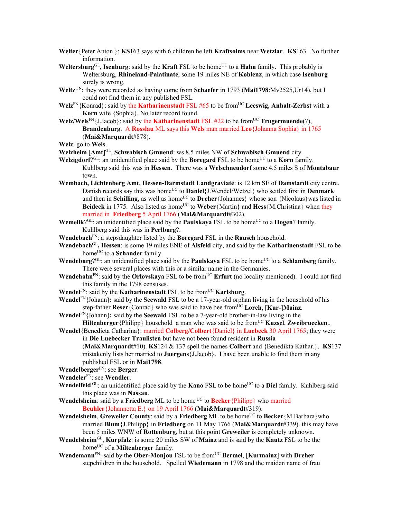- **Welter**{Peter Anton }: **KS**163 says with 6 children he left **Kraftsolms** near **Wetzlar**. **KS**163 No further information.
- **Weltersburg**<sup>GL</sup>, **Isenburg**: said by the **Kraft** FSL to be home<sup>UC</sup> to a **Hahn** family. This probably is Weltersburg, **Rhineland-Palatinate**, some 19 miles NE of **Koblenz**, in which case **Isenburg** surely is wrong.
- **Weltz** FN: they were recorded as having come from **Schaefer** in 1793 (**Mai1798**:Mv2525,Ur14), but I could not find them in any published FSL.
- **Welz**FN{Konrad}: said by the **Katharinenstadt** FSL #65 to be fromUC **Leeswig**, **Anhalt-Zerbst** with a **Korn** wife {Sophia}. No later record found.
- **Welz/Wels**<sup>FN</sup>{J.Jacob}: said by the **Katharinenstadt** FSL #22 to be from<sup>UC</sup> **Trugermuende**(?), **Brandenburg**. A **Rosslau** ML says this **Wels** man married **Leo**{Johanna Sophia} in 1765 (**Mai&Marquardt**#878).

**Welz**: go to **Wels**.

- Welzheim [Amt]<sup>GL</sup>, Schwabisch Gmuend: ws 8.5 miles NW of Schwabisch Gmuend city.
- **Welzigdorf**?<sup>GL</sup>: an unidentified place said by the **Boregard** FSL to be home<sup>UC</sup> to a **Korn** family. Kuhlberg said this was in **Hessen**. There was a **Welschneudorf** some 4.5 miles S of **Montabaur** town.
- **Wembach, Lichtenberg Amt**, **Hessen-Darmstadt Landgraviate**: is 12 km SE of **Damstardt** city centre. Danish records say this was home<sup>UC</sup> to **Daniel**{J.Wendel/Wetzel} who settled first in **Denmark** and then in **Schilling**, as well as home<sup>UC</sup> to **Dreher**{Johannes} whose son {Nicolaus} was listed in Beideck in 1775. Also listed as home<sup>UC</sup> to Weber {Martin} and Hess {M.Christina} when they married in **Friedberg** 5 April 1766 (**Mai&Marquardt**#302).
- **Wemelik**?<sup>GL</sup>: an unidentified place said by the **Paulskaya** FSL to be home<sup>UC</sup> to a **Hogen**? family. Kuhlberg said this was in **Perlburg**?.
- **Wendebach**FN: a stepsdaughter listed by the **Boregard** FSL in the **Rausch** household.
- **Wendebach**GL**, Hessen**: is some 19 miles ENE of **Alsfeld** city, and said by the **Katharinenstadt** FSL to be home<sup>UC</sup> to a **Schander** family.
- **Wendeburg**?<sup>GL</sup>: an unidentified place said by the **Paulskaya** FSL to be home<sup>UC</sup> to a **Schlamberg** family. There were several places with this or a similar name in the Germanies.
- **Wendehahn**<sup>FN</sup>: said by the **Orlovskaya** FSL to be from<sup>UC</sup> **Erfurt** (no locality mentioned). I could not find this family in the 1798 censuses.
- **Wendel**<sup>FN</sup>: said by the **Katharinenstadt** FSL to be from<sup>UC</sup> **Karlsburg**.
- **Wendel**FN**{**Johann**}:** said by the **Seewald** FSL to be a 17-year-old orphan living in the household of his step-father **Reser**{Conrad} who was said to have bee fromUC **Lorch**, [**Kur**-]**Mainz**.
- **Wendel**FN**{**Johann**}:** said by the **Seewald** FSL to be a 7-year-old brother-in-law living in the **Hiltenberger** {Philipp} household a man who was said to be from<sup>UC</sup> **Kuzsel**, **Zweibruecken**...
- **Wendel**{Benedicta Catharina}: married **Colberg/Colbert**{Daniel} in **Luebeck** 30 April 1765; they were in **Die Luebecker Traulisten** but have not been found resident in **Russia** (**Mai&Marquardt**#10). **KS**124 & 137 spell the names **Colbert** and {Benedikta Kathar.}. **KS**137 mistakenly lists her married to **Juergens**{J.Jacob}. I have been unable to find them in any published FSL or in **Mai1798**.
- **Wendelberger**FN: see **Berger**.
- **Wendeler**FN: see **Wendler**.
- **Wendelfeld** GL: an unidentified place said by the **Kano** FSL to be home<sup>UC</sup> to a **Diel** family. Kuhlberg said this place was in **Nassau**.
- **Wendelsheim**: said by a **Friedberg** ML to be home <sup>UC</sup> to **Becker**{Philipp} who married **Beuhler**{Johannetta E.} on 19 April 1766 (**Mai&Marquardt**#319).
- **Wendelsheim, Greweiler County**: said by a **Friedberg** ML to be home<sup>UC</sup> to **Becker** {M.Barbara} who married **Blum**{J.Philipp} in **Friedberg** on 11 May 1766 (**Mai&Marquardt**#339). this may have been 5 miles WNW of **Rottenburg**, but at this point **Greweiler** is completely unknown.
- **Wendelsheim**GL, **Kurpfalz**: is some 20 miles SW of **Mainz** and is said by the **Kautz** FSL to be the home<sup>UC</sup> of a **Miltenberger** family.
- **Wendemann**<sup>FN</sup>: said by the **Ober-Monjou** FSL to be from<sup>UC</sup> **Bermel**, [**Kurmainz**] with **Dreher** stepchildren in the household. Spelled **Wiedemann** in 1798 and the maiden name of frau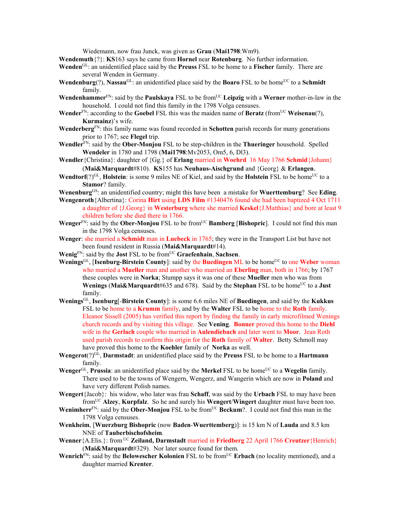Wiedemann, now frau Junck, was given as **Grau** (**Mai1798**:Wm9).

**Wendemuth**{?}: **KS**163 says he came from **Hornel** near **Rotenburg**. No further information.

- **Wenden**GL: an unidentified place said by the **Preuss** FSL to be home to a **Fischer** family. There are several Wenden in Germany.
- **Wendenburg**(?), **Nassau**<sup>GL</sup>: an unidentified place said by the **Boaro** FSL to be home<sup>UC</sup> to a **Schmidt** family.
- **Wendenhammer**<sup>FN</sup>: said by the **Paulskaya** FSL to be from<sup>UC</sup> Leipzig with a Werner mother-in-law in the household. I could not find this family in the 1798 Volga censuses.
- **Wender**<sup>FN</sup>: according to the **Goebel** FSL this was the maiden name of **Beratz** (from<sup>UC</sup> **Weisenau**(?), **Kurmainz**)'s wife.
- **Wenderberg**FN: this family name was found recorded in **Schotten** parish records for many generations prior to 1767; see **Flegel** trip.
- **Wendler**FN: said by the **Ober-Monjou** FSL to be step-children in the **Thueringer** household. Spelled **Wendeler** in 1780 and 1798 (**Mai1798**:Mv2053, Om5, 6, Dl3).
- **Wendler**{Christina}: daughter of {Gg.} of **Erlang** married in **Woehrd** 16 May 1766 **Schmid**{Johann} (**Mai&Marquardt**#810). **KS**155 has **Neuhaus-Aischgrund** and {Georg} & **Erlangen**.
- **Wendtorf**(?)<sup>GL</sup>, **Holstein**: is some 9 miles NE of Kiel, and said by the **Holstein** FSL to be home<sup>UC</sup> to a **Stamor**? family.
- **Wenenburg**GS: an unidentified country; might this have been a mistake for **Wuerttemburg**? See **Eding**.
- **Wengenroth**{Albertina}: Corina **Hirt** using **LDS Film** #1340476 found she had been baptized 4 Oct 1711 a daughter of {J.Georg} in **Westerburg** where she married **Keskel**{J.Matthias} and bore at least 9 children before she died there in 1766.
- **Wenger**<sup>FN</sup>: said by the **Ober-Monjou** FSL to be from<sup>UC</sup> **Bamberg** [Bishopric]. I could not find this man in the 1798 Volga censuses.
- **Wenger**: she married a **Schmidt** man in **Luebeck** in 1765; they were in the Transport List but have not been found resident in Russia (**Mai&Marquardt**#14).
- **Wenig**FN: said by the **Jost** FSL to be fromUC **Graefenhain**, **Sachsen**.
- **Wenings**<sup>GL</sup>, [Isenburg-Birstein County]: said by the **Buedingen** ML to be home<sup>UC</sup> to one Weber woman who married a **Mueller** man and another who married an **Eberling** man, both in 1766; by 1767 these couples were in **Norka**; Stumpp says it was one of these **Mueller** men who was from **Wenings** (Mai&Marquardt#635 and 678). Said by the **Stephan** FSL to be home<sup>UC</sup> to a **Just** family.
- **Wenings**GL, **Isenburg**[-**Birstein County**]: is some 6.6 miles NE of **Buedingen**, and said by the **Kukkus** FSL to be home to a **Krumm** family, and by the **Walter** FSL to be home to the **Roth** family. Eleanor Sissell (2005) has verified this report by finding the family in early microfilmed Wenings church records and by visiting this village. See **Vening**. **Bonner** proved this home to the **Diehl** wife in the **Gerlach** couple who married in **Aulendiebach** and later went to **Moor**. Jean Roth used parish records to confirm this origin for the **Roth** family of **Walter**. Betty Schmoll may have proved this home to the **Koehler** family of **Norka** as well.
- **Wengerot**(?)GL, **Darmstadt**: an unidentified place said by the **Preuss** FSL to be home to a **Hartmann** family.
- Wenger<sup>GL</sup>, Prussia: an unidentified place said by the Merkel FSL to be home<sup>UC</sup> to a Wegelin family. There used to be the towns of Wengern, Wengerz, and Wangerin which are now in **Poland** and have very different Polish names.
- **Wengert**{Jacob}: his widow, who later was frau **Schaff**, was said by the **Urbach** FSL to may have been fromUC **Alzey**, **Kurpfalz**. So he and surely his **Wengert**/**Wingert** daughter must have been too.
- **Wenimherr**<sup>FN</sup>: said by the **Ober-Monjou** FSL to be from<sup>UC</sup> **Beckum**?. I could not find this man in the 1798 Volga censuses.
- **Wenkheim**, [**Wuerzburg Bishopric** (now **Baden**-**Wuerttemberg**)]: is 15 km N of **Lauda** and 8.5 km NNE of **Tauberbischofsheim**.
- **Wenner**{A.Elis.}: from UC **Zeiland, Darmstadt** married in **Friedberg** 22 April 1766 **Creutzer**{Henrich} (**Mai&Marquardt**#329). Nor later source found for them.
- **Wenrich**<sup>FN</sup>: said by the **Belowescher Kolonien** FSL to be from<sup>UC</sup> **Erbach** (no locality mentioned), and a daughter married **Krenter**.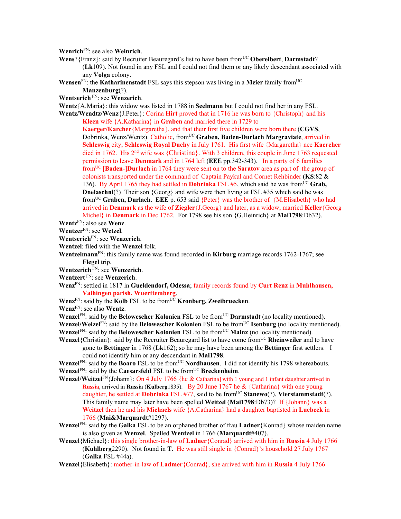**Wenrich**FN: see also **Weinrich**.

- Wens? {Franz}: said by Recruiter Beauregard's list to have been from<sup>UC</sup> Oberelbert, Darmstadt? (**Lk**109). Not found in any FSL and I could not find them or any likely descendant associated with any **Volga** colony.
- **Wensen**<sup>FN</sup>: the **Katharinenstadt** FSL says this stepson was living in a **Meier** family from<sup>UC</sup>
	- **Manzenburg**(?).
- **Wentserich** FN: see **Wenzerich**.

**Wentz**{A.Maria}: this widow was listed in 1788 in **Seelmann** but I could not find her in any FSL.

Wentz/Wendtz/Wenz {J.Peter}: Corina **Hirt** proved that in 1716 he was born to {Christoph} and his **Kleen** wife {A.Katharina} in **Graben** and married there in 1729 to

**Kaerger/Karcher**{Margaretha}, and that their first five children were born there (**CGVS**, Dobrinka, Wenz/Wentz). Catholic, from<sup>UC</sup> Graben, Baden-Durlach Margraviate, arrived in **Schleswig** city, **Schleswig Royal Duchy** in July 1761. His first wife {Margaretha} nee **Kaercher** died in 1762. His 2<sup>nd</sup> wife was {Christina}. With 3 children, this couple in June 1763 requested permission to leave **Denmark** and in 1764 left (**EEE** pp.342-343). In a party of 6 families fromUC [**Baden**-]**Durlach** in 1764 they were sent on to the **Saratov** area as part of the group of colonists transported under the command of Captain Paykul and Cornet Rehbinder (**KS**:82 & 136). By April 1765 they had settled in **Dobrinka** FSL  $#5$ , which said he was from<sup>UC</sup> Grab, **Dnelaschni**(?) Their son {Georg} and wife were then living at FSL #35 which said he was fromUC **Graben, Durlach**. **EEE** p. 653 said {Peter} was the brother of {M.Elisabeth} who had arrived in **Denmark** as the wife of **Ziegler**{J.Georg} and later, as a widow, married **Keller**{Georg Michel} in **Denmark** in Dec 1762. For 1798 see his son {G.Heinrich} at **Mai1798**:Db32).

- **Wentz**FN: also see **Wenz**.
- **Wentzer**FN: see **Wetzel**.
- **Wentserich**FN: see **Wenzerich**.
- **Wentzel**: filed with the **Wenzel** folk.
- **Wentzelmann**FN: this family name was found recorded in **Kirburg** marriage records 1762-1767; see **Flegel** trip.
- **Wentzerich** FN: see **Wenzerich**.
- **Wentzert** FN: see **Wenzerich**.
- **Wenz**FN: settled in 1817 in **Gueldendorf, Odessa**; family records found by **Curt Renz** in **Muhlhausen, Vaihingen parish, Wuerttemberg**.
- **Wenz**FN: said by the **Kolb** FSL to be fromUC **Kronberg, Zweibruecken**.
- **Wenz**FN: see also **Wentz**.

**Wenzel**<sup>FN</sup>: said by the **Belowescher Kolonien** FSL to be from<sup>UC</sup> **Darmstadt** (no locality mentioned). **Wenzel/Weizel** $F_N$ : said by the **Belowescher Kolonien** FSL to be from<sup>UC</sup> **Isenburg** (no locality mentioned).

**Wenzel**FN: said by the **Belowescher Kolonien** FSL to be from<sup>UC</sup> Mainz (no locality mentioned).

**Wenzel**{Christian}: said by the Recruiter Beauregard list to have come fromUC **Rheinweiler** and to have gone to **Bettinger** in 1768 (**Lk**162); so he may have been among the **Bettinger** first settlers. I could not identify him or any descendant in **Mai1798**.

**Wenzel**FN: said by the **Boaro** FSL to be from<sup>UC</sup> **Nordhausen**. I did not identify his 1798 whereabouts. **Wenzel**<sup>FN</sup>: said by the **Caesarsfeld** FSL to be from<sup>UC</sup> **Breckenheim**.

- **Wenzel/Weitzel**<sup>FN</sup>{Johann}: On 4 July 1766 {he & Catharina] with 1 young and 1 infant daughter arrived in **Russia**, arrived in **Russia** (**Kulberg**1835). By 20 June 1767 he & {Catharina} with one young daughter, he settled at **Dobrinka** FSL #77, said to be from<sup>UC</sup> Stanewo(?), Vierstammstadt(?). This family name may later have been spelled **Weitzel** (**Mai1798**:Db73)? If {Johann} was a **Weitzel** then he and his **Michaels** wife {A.Catharina} had a daughter baptisted in **Luebeck** in 1766 (**Mai&Marquardt**#1297).
- **Wenzel**FN: said by the **Galka** FSL to be an orphaned brother of frau **Ladner**{Konrad} whose maiden name is also given as **Wenzel**. Spelled **Wentzel** in 1766 (**Marquardt**#407).
- **Wenzel**{Michael}: this single brother-in-law of **Ladner**{Conrad} arrived with him in **Russia** 4 July 1766 (**Kuhlberg**2290). Not found in **T**. He was still single in {Conrad}'s household 27 July 1767 (**Galka** FSL #44a).
- **Wenzel**{Elisabeth}: mother-in-law of **Ladmer**{Conrad}, she arrived with him in **Russia** 4 July 1766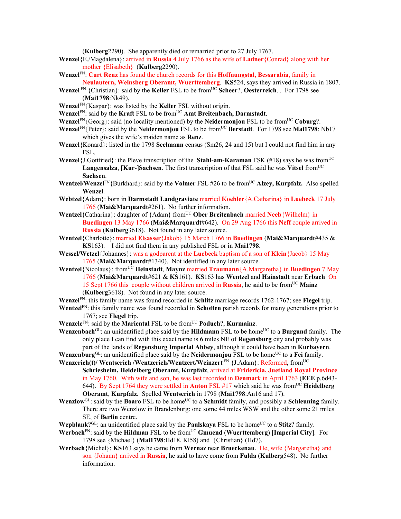(**Kulberg**2290). She apparently died or remarried prior to 27 July 1767.

- **Wenzel**{E./Magdalena}: arrived in **Russia** 4 July 1766 as the wife of **Ladner**{Conrad} along with her mother {Elisabeth} (**Kulberg**2290).
- **Wenzel**FN: **Curt Renz** has found the church records for this **Hoffnungstal, Bessarabia**, family in **Neulautern, Weinsberg Oberamt, Wuerttemberg**. **KS**524, says they arrived in Russia in 1807.
- **Wenzel** FN {Christian}: said by the **Keller** FSL to be from<sup>UC</sup> **Scheer**?, **Oesterreich**. . For 1798 see (**Mai1798**:Nk49).
- **Wenzel**FN{Kaspar}: was listed by the **Keller** FSL without origin.
- **Wenzel**<sup>FN</sup>: said by the **Kraft** FSL to be from<sup>UC</sup> **Amt Breitenbach, Darmstadt**.
- **Wenzel**FN{Georg}: said (no locality mentioned) by the **Neidermonjou** FSL to be fromUC **Coburg**?.
- **Wenzel**<sup>FN</sup>{Peter}: said by the **Neidermonjou** FSL to be from<sup>UC</sup> **Berstadt**. For 1798 see **Mai1798**: Nb17 which gives the wife's maiden name as **Renz**.
- **Wenzel**{Konard}: listed in the 1798 **Seelmann** census (Sm26, 24 and 15) but I could not find him in any FSL.
- **Wenzel**{J.Gottfried}: the Pleve transcription of the **Stahl-am-Karaman** FSK (#18) says he was from<sup>UC</sup> **Langensalza, [Kur-]Sachsen**. The first transcription of that FSL said he was Vitsel from<sup>UC</sup> **Sachsen**.
- **Wentzel/Wenzel**<sup>FN</sup>{Burkhard}: said by the **Volmer** FSL #26 to be from<sup>UC</sup> **Alzey, Kurpfalz.** Also spelled **Wenzel**.
- **Webtzel**{Adam}: born in **Darmstadt Landgraviate** married **Koehler**{A.Catharina} in **Luebeck** 17 July 1766 (**Mai&Marquardt**#261). No further information.
- **Wentzel**{Catharina}: daughter of {Adam} from<sup>UC</sup> **Ober Breitenbach** married **Neeb**{Wilhelm} in **Buedingen** 13 May 1766 (**Mai&Marquardt**#642). On 29 Aug 1766 this **Neff** couple arrived in **Russia** (**Kulberg**3618). Not found in any later source.
- **Wentzel**{Charlotte}: married **Elsasser**{Jakob} 15 March 1766 in **Buedingen** (**Mai&Marquardt**#435 & **KS**163). I did not find them in any published FSL or in **Mai1798**.
- **Wessel/Wetzel**{Johannes}: was a godparent at the **Luebeck** baptism of a son of **Klein**{Jacob} 15 May 1765 (**Mai&Marquardt**#1340). Not identified in any later source.
- **Wentzel**{Nicolaus}: fromUC **Heinstadt**, **Maynz** married **Traumann**{A.Margaretha} in **Buedingen** 7 May 1766 (**Mai&Marquardt**#621 & **KS**161). **KS**163 has **Wentzel** and **Hainstadt** near **Erbach** On 15 Sept 1766 this couple without children arrived in **Russia**, he said to be from<sup>UC</sup> Mainz (**Kulberg**3618). Not found in any later source.
- **Wenzel**FN: this family name was found recorded in **Schlitz** marriage records 1762-1767; see **Flegel** trip.
- **Wentzel**FN: this family name was found recorded in **Schotten** parish records for many generations prior to 1767; see **Flegel** trip.
- **Wenzele**<sup>FN</sup>: said by the **Mariental** FSL to be from<sup>UC</sup> **Poduch**?, **Kurmainz**.

**Wenzenbach**<sup>GL</sup>: an unidentified place said by the **Hildmann** FSL to be home<sup>UC</sup> to a **Burgund** family. The only place I can find with this exact name is 6 miles NE of **Regensburg** city and probably was part of the lands of **Regensburg Imperial Abbey**, although it could have been in **Kurbayern**.

- **Wenzenburg**<sup>GL</sup>: an unidentified place said by the **Neidermonjou** FSL to be home<sup>UC</sup> to a **Fei** family. **Wenzerich(t)/ Wentserich /Wentzerich/Wentzert/Weinzert** FN {J.Adam}: Reformed, fromUC
- **Schriesheim, Heidelberg Oberamt, Kurpfalz**, arrived at **Fridericia, Juetland Royal Province** in May 1760. With wife and son, he was last recorded in **Denmar**k in April 1763 (**EEE** p.6d43- 644). By Sept 1764 they were settled in **Anton** FSL #17 which said he was fromUC **Heidelberg Oberamt**, **Kurpfalz**.Spelled **Wentserich** in 1798 (**Mai1798**:An16 and 17).
- Wenzlow<sup>GL</sup>: said by the **Boaro** FSL to be home<sup>UC</sup> to a **Schmidt** family, and possibly a **Schleuning** family. There are two Wenzlow in Brandenburg: one some 44 miles WSW and the other some 21 miles SE, of **Berlin** centre.
- **Wepblank**? $G<sup>L</sup>$ : an unidentified place said by the **Paulskaya** FSL to be home<sup>UC</sup> to a **Stitz**? family.
- **Werbach**FN: said by the **Hildman** FSL to be fromUC **Gmuend** (**Wuerttemberg**) [**Imperial City**]. For 1798 see {Michael} (**Mai1798**:Hd18, Kl58) and {Christian} (Hd7).
- **Werbach**{Michel}: **KS**163 says he came from **Wernaz** near **Brueckenau**. He, wife {Margaretha} and son {Johann} arrived in **Russia**, he said to have come from **Fulda** (**Kulberg**548). No further information.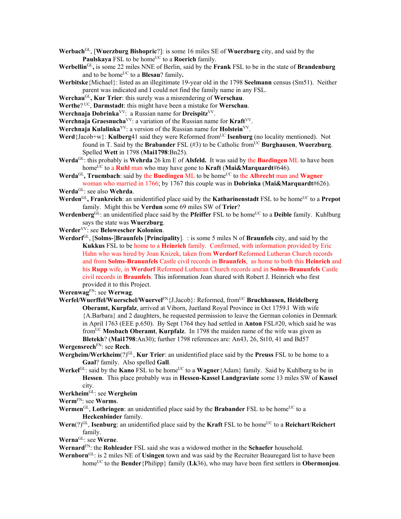- **Werbach**GL, [**Wuerzburg Bishopric**?]: is some 16 miles SE of **Wuerzburg** city, and said by the Paulskaya FSL to be home<sup>UC</sup> to a Roerich family.
- **Werbellin**GL**,** is some 22 miles NNE of Berlin, said by the **Frank** FSL to be in the state of **Brandenburg** and to be home<sup>UC</sup> to a **Blesau**? family.
- **Werbitske**{Michael}: listed as an illegitimate 19-year old in the 1798 **Seelmann** census (Sm51). Neither parent was indicated and I could not find the family name in any FSL.
- **Werchau**GL**, Kur Trier**: this surely was a misrendering of **Werschau**.
- **Werthe**? UC, **Darmstadt**: this might have been a mistake for **Werschau**.
- Werchnaja Dobrinka<sup>VV</sup>: a Russian name for Dreispitz<sup>VV</sup>.
- **Werchnaja Graesnucha**VV: a variation of the Russian name for **Kraft**VV.
- **Werchnaja Kulalinka**<sup>VV</sup>: a version of the Russian name for **Holstein**<sup>VV</sup>.
- **Werd**{Jacob+w}: **Kulberg**41 said they were Reformed from<sup>UC</sup> **Isenburg** (no locality mentioned). Not found in T. Said by the **Brabander** FSL  $(\#3)$  to be Catholic from<sup>UC</sup> **Burghausen**, **Wuerzburg**. Spelled **Wett** in 1798 (**Mai1798**:Bn25).
- **Werda**GL: this probably is **Wehrda** 26 km E of **Alsfeld.** It was said by the **Buedingen** ML to have been homeUC to a **Ruhl** man who may have gone to **Kraft** (**Mai&Marquardt**#646).
- Werda<sup>GL</sup>, Truembach: said by the Buedingen ML to be home<sup>UC</sup> to the Albrecht man and Wagner woman who married in 1766; by 1767 this couple was in **Dobrinka** (**Mai&Marquardt**#626).
- **Werda**GL: see also **Wehrda**.
- **Werden**<sup>GL</sup>, Frankreich: an unidentified place said by the **Katharinenstadt** FSL to be home<sup>UC</sup> to a Prepot family. Might this be **Verdun** some 69 miles SW of **Trier**?
- **Werdenberg**<sup>GL</sup>: an unidentified place said by the **Pfeiffer** FSL to be home<sup>UC</sup> to a **Deible** family. Kuhlburg says the state was **Wuerzburg**.
- **Werder**VV: see **Belowescher Kolonien**.
- **Werdorf**GL, [**Solms-**]**Braunfels** [**Principality**]. : is some 5 miles N of **Braunfels** city, and said by the **Kukkus** FSL to be home to a **Heinrich** family. Confirmed, with information provided by Eric Hahn who was hired by Joan Knizek, taken from **Werdorf** Reformed Lutheran Church records and from **Solms-Branunfels** Castle civil records in **Braunfels**, as home to both this **Heinrich** and his **Rupp** wife, in **Werdorf** Reformed Lutheran Church records and in **Solms-Branunfels** Castle civil records in **Braunfels**. This information Joan shared with Robert J. Heinrich who first provided it to this Project.

**Werenwag**FN: see **Werwag**.

**Werfel/Wuerffel/Wuerschel/Wuervel**FN{J.Jacob}: Reformed, fromUC **Bruchhausen, Heidelberg Oberamt, Kurpfalz**, arrived at Viborn, Juetland Royal Province in Oct 1759.l With wife {A.Barbara} and 2 daughters, he requested permission to leave the German colonies in Denmark in April 1763 (EEE p.650). By Sept 1764 they had settled in **Anton** FSL#20, which said he was fromUC **Mosbach Oberamt**, **Kurpfalz**. In 1798 the maiden name of the wife was given as **Bletekh**? (**Mai1798**:An30); further 1798 references are: An43, 26, St10, 41 and Bd57

**Wergensrech**FN: see **Rech**.

- **Wergheim/Werkheim**(?)GL, **Kur Trier**: an unidentified place said by the **Preuss** FSL to be home to a **Gaal**? family. Also spelled **Gall**.
- **Werkel**<sup>GL</sup>: said by the **Kano** FSL to be home<sup>UC</sup> to a **Wagner**{Adam} family. Said by Kuhlberg to be in **Hessen**. This place probably was in **Hessen-Kassel Landgraviate** some 13 miles SW of **Kassel** city.
- **Werkheim**GL: see **Wergheim**

**Werm**FN: see **Worms**.

- Wermen<sup>GL</sup>, **Lothringen**: an unidentified place said by the **Brabander** FSL to be home<sup>UC</sup> to a **Heckenbinder** family.
- **Wern**(?)<sup>GL</sup>, **Isenburg**: an unidentified place said by the **Kraft** FSL to be home<sup>UC</sup> to a **Reichart/Reichert** family.

**Werna**GL: see **Werne**.

- **Wernard**FN: the **Rohleader** FSL said she was a widowed mother in the **Schaefer** household.
- **Wernborn**GL: is 2 miles NE of **Usingen** town and was said by the Recruiter Beauregard list to have been home<sup>UC</sup> to the **Bender** {Philipp} family (**Lk**36), who may have been first settlers in **Obermonjou**.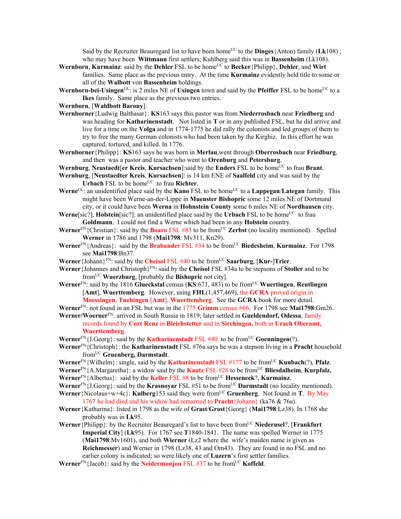Said by the Recruiter Beauregard list to have been home<sup>UC</sup> to the **Dinges** {Anton) family ( $Lk108$ ); who may have been **Wittmann** first settlers; Kuhlberg said this was in **Bassenheim** (Lk108).

- **Wernborn, Kurmainz**: said by the **Dehler** FSL to be home<sup>UC</sup> to **Becker**{Philipp}, **Dehler**, and **Wirt** families. Same place as the previous entry. At the time **Kurmainz** evidently held title to some or all of the **Walbott** von **Bassenheim** holdings.
- **Wernborn-bei-Usingen**<sup>GL</sup>: is 2 miles NE of **Usingen** town and said by the **Pfeiffer** FSL to be home<sup>UC</sup> to a **Ikes** family. Same place as the previous two entries.
- **Wernborn**, [**Waldbott Barony**]:
- **Wernborner**{Ludwig Balthasar}: **KS**163 says this pastor was from **Niederrosbach** near **Friedberg** and was heading for **Katharinenstadt**. Not listed in **T** or in any published FSL, but he did arrive and live for a time on the **Volga** and in 1774-1775 he did rally the colonists and led groups of them to try to free the many German colonists who had been taken by the Kirghiz. In this effort he was captured, tortured, and killed. In 1776.
- **Wernborner**{Philipp}: **KS**163 says he was born in **Merlau**,went through **Oberrosbach** near **Friedburg**, and then was a pastor and teacher who went to **Orenburg** and **Petersburg**.
- **Wernburg, Neustaedt[er Kreis, Kursachsen**]: said by the **Enders** FSL to be home<sup>UC</sup> to frau **Brant**. **Wernburg**, [**Neustaedter Kreis**, **Kursachsen**]: is 14 km ENE of **Saalfeld** city and was said by the
- **Urbach** FSL to be home<sup>UC</sup> to frau **Richter**. **Werne**<sup>GL</sup>: an unidentified place said by the **Kano** FSL to be home<sup>UC</sup> to a **Lappegan**/**Lategan** family. This might have been Werne-an-der-Lippe in **Muenster Bishopric** some 12 miles NE of Dortmund city, or it could have been **Werna** in **Hohnstein County** some 6 miles NE of **Nordhausen** city.
- **Werne**[sic?], **Holstein**[sic?]; an unidentified place said by the **Urbach** FSL to be home<sup>UC</sup> to frau **Goldmann**. I could not find a Werne which had been in any **Holstein** country.
- **Werner**FN{Christian}: said by the **Boaro** FSL #83 to be fromUC **Zerbst** (no locality mentioned). Spelled **Werner** in 1786 and 1798 (**Mai1798**: Mv311, Kn29).
- **Werner**FN{Andreas}: said by the **Brabander** FSL #34 to be fromUC **Biedesheim**, **Kurmainz**. For 1798 see **Mai1798**:Bn37.
- **Werner**{Johann}FN: said by the **Cheisol** FSL #40 to be fromUC **Saarburg**, [**Kur-**]**Trier**.
- **Werner**{Johannes and Christoph}FN: said by the **Cheisol** FSL #34a to be stepsons of **Stoller** and to be fromUC **Wuerzburg**, [probably the **Bishopric** not city].
- **Werner**FN: said by the 1816 **Glueckstal** census (**KS**:671, 483) to be fromUC **Wuertingen**, **Reutlingen** [**Amt**], **Wuerttemberg**. However, using **FHL**(1,457,469), the **GCRA** proved origin in **Moessingen**, **Tuebingen** [**Amt**], **Wuerttemberg**. See the **GCRA** book for more detail.
- **Werner**FN: not found in an FSL but was in the 1775 **Grimm** census #66. For 1798 see **Mai1798**:Gm26.
- **Werner/Woerner**FN: arrived in South Russia in 1819; later settled in **Gueldendorf, Odessa**; family records found by **Curt Renz** in **Bleichstetter** and in **Sirchingen,** both in **Urach Oberamt, Wuerttemberg**.
- **Werner**<sup>FN</sup>{J.Georg}: said by the **Katharinenstadt** FSL #40 to be from<sup>UC</sup> **Goenningen**(?).
- **Werner**FN{Christoph}: the **Katharinenstadt** FSL #76a says he was a stepson living in a **Pracht** household fromUC **Gruenberg, Darmstadt**.
- **Werner**<sup>FN</sup>{Wilhelm}: single, said by the **Katharinenstadt** FSL #177 to be from<sup>UC</sup> **Kunbach**(?), **Pfalz**.
- **Werner**FN{A.Margaretha}: a widow said by the **Kautz** FSL #28 to be fromUC **Bliesdalheim**, **Kurpfalz.**
- **Werner**<sup>FN</sup>{Albertus}: said by the **Keller** FSL #8 to be from<sup>UC</sup> **Hesseneck**?, **Kurmainz**.
- **Werner**<sup>FN</sup>{J.Georg}: said by the **Krasnoyar** FSL #51 to be from<sup>UC</sup> **Darmstadt** (no locality mentioned).
- **Werner** {Nicolaus+w+4c}: **Kulberg**153 said they were from<sup>UC</sup> Gruenberg. Not found in **T**. By May 1767 he had died and his widow had remarried to **Pracht**{Johann} (ka76 & 76a).
- **Werner**{Katharina}: listed in 1798 as the wife of **Grast**/**Grost**{Georg} (**Mai1798**:Lz38). In 1768 she probably was in **Lk**95.
- **Werner**{Philipp}: by the Recruiter Beauregard's list to have been from<sup>UC</sup> Niederusel?, [Frankfurt **Imperial City**] (**Lk**95). For 1767 see **T**1840-1841. The name was spelled Werner in 1775 (**Mai1798**:Mv1601), and both **Wierner** (Lz2 where the wife's maiden name is given as **Reichmesser**) and Werner in 1798 (Lz38, 43 and Om43). They are found in no FSL and no earlier colony is indicated; so were likely one of **Luzern**'s first settler families.
- **Werner**<sup>FN</sup>{Jacob}: said by the **Neidermonjou** FSL #37 to be from<sup>UC</sup> **Koffeld**.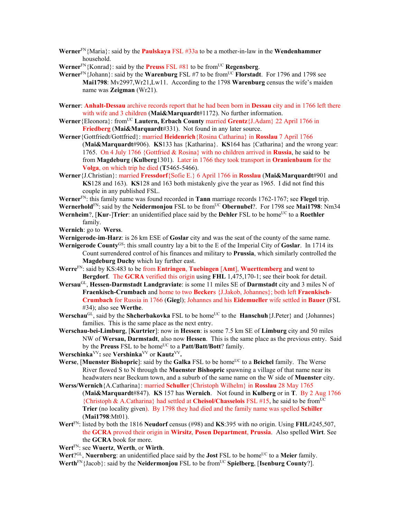- **Werner**FN{Maria}: said by the **Paulskaya** FSL #33a to be a mother-in-law in the **Wendenhammer** household.
- **Werner**<sup>FN</sup>{Konrad}: said by the **Preuss** FSL  $#81$  to be from<sup>UC</sup> **Regensberg**.
- **Werner**<sup>FN</sup>{Johann}: said by the **Warenburg** FSL #7 to be from<sup>UC</sup> **Florstadt**. For 1796 and 1798 see **Mai1798**: Mv2997,Wr21,Lw11. According to the 1798 **Warenburg** census the wife's maiden name was **Zeigman** (Wr21).
- **Werner**: **Anhalt-Dessau** archive records report that he had been born in **Dessau** city and in 1766 left there with wife and 3 children (Mai&Marquardt#1172). No further information.
- **Werner**{Eleonora}: fromUC **Lautern, Erbach County** married **Grentz**{J.Adam} 22 April 1766 in **Friedberg** (**Mai&Marquardt**#331). Not found in any later source.
- **Werner**{Gottfriedt/Gottfried}: married **Heidenrich**{Rosina Catharina} in **Rosslau** 7 April 1766 (**Mai&Marquardt**#906). **KS**133 has {Katharina}. **KS**164 has {Catharina} and the wrong year: 1765. On 4 July 1766 {Gottfried & Rosina} with no children arrived in **Russia**, he said to be from **Magdeburg** (**Kulberg**1301). Later in 1766 they took transport in **Oranienbaum** for the **Volga**, on which trip he died (**T**5465-5466).
- **Werner**{J.Christian}: married **Fressdorf**{Sofie E.} 6 April 1766 in **Rosslau** (**Mai&Marquardt**#901 and **KS**128 and 163). **KS**128 and 163 both mistakenly give the year as 1965. I did not find this couple in any published FSL.
- **Werner**FN: this family name was found recorded in **Tann** marriage records 1762-1767; see **Flegel** trip.
- **Wernerhold**<sup>FN</sup>: said by the **Neidermonjou** FSL to be from<sup>UC</sup> **Obernubel**?. For 1798 see **Mai1798**: Nm34 **Wernheim**?, [**Kur-**]**Trier**: an unidentified place said by the **Dehler** FSL to be home<sup>UC</sup> to a **Roethler** family.
- **Wernich**: go to **Werss**.
- **Wernigerode**-**im**-**Harz**: is 26 km ESE of **Goslar** city and was the seat of the county of the same name.
- **Wernigerode County**GS: this small country lay a bit to the E of the Imperial City of **Goslar**. In 1714 its Count surrendered control of his finances and military to **Prussia**, which similarly controlled the
	- **Magdeburg Duchy** which lay further east.
- **Werre**FN: said by KS:483 to be from **Entringen**, **Tuebingen** [**Amt**], **Wuerttemberg** and went to **Bergdorf**. The **GCRA** verified this origin using **FHL** 1,475,170-1; see their book for detail.
- **Wersau**GL, **Hessen-Darmstadt Landgraviate**: is some 11 miles SE of **Darmstadt** city and 3 miles N of **Fraenkisch-Crumbach** and home to two **Becker**s {J.Jakob, Johannes}; both left **Fraenkisch**-**Crumbach** for Russia in 1766 (**Gieg**l); Johannes and his **Eidemueller** wife settled in **Bauer** (FSL #34); also see **Werthe**.
- **Werschau**<sup>GL</sup>, said by the **Shcherbakovka** FSL to be home<sup>UC</sup> to the **Hanschuh**{J.Peter} and {Johannes} families. This is the same place as the next entry.
- **Werschau-bei-Limburg**, [**Kurtrier**]: now in **Hessen**: is some 7.5 km SE of **Limburg** city and 50 miles NW of **Wersau, Darmstadt**, also now **Hessen**. This is the same place as the previous entry. Said by the **Preuss** FSL to be home<sup>UC</sup> to a **Patt/Batt/Bott**? family.
- **Werschinka<sup>VV</sup>: see Vershinka<sup>VV</sup> or Kautz<sup>VV</sup>.**
- **Werse**, [Muenster Bishopric]: said by the Galka FSL to be home<sup>UC</sup> to a Beichel family. The Werse River flowed S to N through the **Muenster Bishopric** spawning a village of that name near its headwaters near Beckum town, and a suburb of the same name on the W side of **Muenster** city. **Werss/Wernich**{A.Catharina}: married **Schuller**{Christoph Wilhelm} in **Rosslau** 28 May 1765
- (**Mai&Marquardt**#847). **KS** 157 has **Wernich**. Not found in **Kulberg** or in **T**. By 2 Aug 1766 {Christoph & A.Catharina} had settled at **Cheisol/Chasselois** FSL #15, he said to be fromUC **Trier** (no locality given). By 1798 they had died and the family name was spelled **Schiller** (**Mai1798**:Mt01).
- **Wert**FN: listed by both the 1816 **Neudorf** census (#98) and **KS**:395 with no origin. Using **FHL**#245,507, the **GCRA** proved their origin in **Wirsitz**, **Posen Department**, **Prussia**. Also spelled **Wirt**. See the **GCRA** book for more.
- **Wert**FN: see **Wuertz**, **Werth**, or **Wirth**.
- **Wert**?<sup>GL</sup>, **Nuernberg**: an unidentified place said by the **Jost** FSL to be home<sup>UC</sup> to a **Meier** family.
- **Werth**FN{Jacob}: said by the **Neidermonjou** FSL to be fromUC **Spielberg**, [**Isenburg County**?].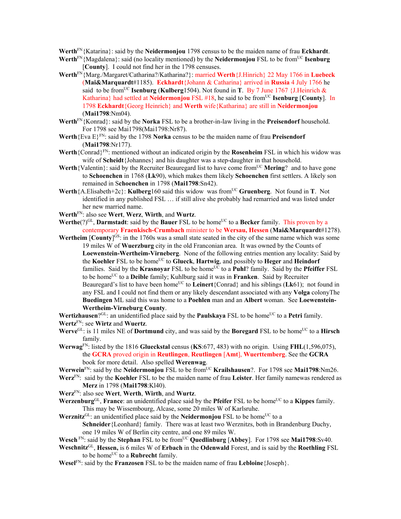**Werth**FN{Katarina}: said by the **Neidermonjou** 1798 census to be the maiden name of frau **Eckhardt**.

- **Werth**FN{Magdalena}: said (no locality mentioned) by the **Neidermonjou** FSL to be from<sup>UC</sup> **Isenburg** [**County**]. I could not find her in the 1798 censuses.
- **Werth**FN{Marg./Margaret/Catharina?/Katharina?}: married **Werth**{J.Hinrich} 22 May 1766 in **Luebeck** (**Mai&Marquardt**#1185). **Eckhardt**{Johann & Catharina} arrived in **Russia** 4 July 1766 he said to be from<sup>UC</sup> Isenburg (Kulberg1504). Not found in **T**. By 7 June 1767 {J.Heinrich & Katharina} had settled at **Neidermonjou** FSL #18, he said to be from<sup>UC</sup> **Isenburg** [County]. In 1798 **Eckhardt**{Georg Heinrich} and **Werth** wife{Katharina} are still in **Neidermonjou**  (**Mai1798**:Nm04).
- **Werth**FN{Konrad}: said by the **Norka** FSL to be a brother-in-law living in the **Preisendorf** household. For 1798 see Mai1798(Mai1798:Nr87).
- **Werth**{Eva E}FN: said by the 1798 **Norka** census to be the maiden name of frau **Preisendorf** (**Mai1798**:Nr177).
- **Werth**{Conrad}FN: mentioned without an indicated origin by the **Rosenheim** FSL in which his widow was wife of **Scheidt**{Johannes} and his daughter was a step-daughter in that household.
- **Werth**{Valentin}: said by the Recruiter Beauregard list to have come from<sup>UC</sup> **Mering**? and to have gone to **Schoenchen** in 1768 (**Lk**90), which makes them likely **Schoenchen** first settlers. A likely son remained in S**choenchen** in 1798 (**Mai1798**:Sn42).
- **Werth**{A.Elisabeth+2c}: **Kulberg**160 said this widow was from<sup>UC</sup> Gruenberg. Not found in **T**. Not identified in any published FSL … if still alive she probably had remarried and was listed under her new married name.
- **Werth**FN: also see **Wert**, **Werz**, **Wirth**, and **Wurtz**.
- Werthe(?)<sup>GL</sup>, Darmstadt: said by the Bauer FSL to be home<sup>UC</sup> to a Becker family. This proven by a contemporary **Fraenkisch-Crumbach** minister to be **Wersau, Hessen** (**Mai&Marquardt**#1278).
- **Wertheim** [County]<sup>GS</sup>: in the 1760s was a small state seated in the city of the same name which was some 19 miles W of **Wuerzburg** city in the old Franconian area. It was owned by the Counts of **Loewenstein-Wertheim-Virneberg**. None of the following entries mention any locality: Said by the **Koehler** FSL to be home<sup>UC</sup> to **Glueck**, **Hartwig**, and possibly to **Heger** and **Heindorf** families. Said by the **Krasnoyar** FSL to be home<sup>UC</sup> to a **Puhl**? family. Said by the **Pfeiffer** FSL to be homeUC to a **Deible** family; Kuhlburg said it was in **Franken**. Said by Recruiter Beauregard's list to have been home<sup>UC</sup> to **Leinert**{Conrad} and his siblings ( $Lk61$ ); not found in any FSL and I could not find them or any likely descendant associated with any **Volga** colonyThe **Buedingen** ML said this was home to a **Poehlen** man and an **Albert** woman. See **Loewenstein-Wertheim-Virneburg County**.

**Wertizhausen**?GL: an unidentified place said by the **Paulskaya** FSL to be home<sup>UC</sup> to a **Petri** family. **Wertz**FN: see **Wirtz** and **Wuertz**.

- **Werve**<sup>GL</sup>: is 11 miles NE of **Dortmund** city, and was said by the **Boregard** FSL to be home<sup>UC</sup> to a **Hirsch** family.
- **Werwag**FN: listed by the 1816 **Glueckstal** census (**KS**:677, 483) with no origin. Using **FHL**(1,596,075), the **GCRA** proved origin in **Reutlingen**, **Reutlingen** [**Amt**], **Wuerttemberg**. See the **GCRA** book for more detail. Also spelled **Werenwag**.
- **Werwein**<sup>FN</sup>: said by the **Neidermonjou** FSL to be from<sup>UC</sup> **Krailshausen**?. For 1798 see **Mai1798**:Nm26.
- **Werz**FN: said by the **Koehler** FSL to be the maiden name of frau **Leister**. Her family namewas rendered as **Merz** in 1798 (**Mai1798**:Kl40).
- **Werz**FN: also see **Wert**, **Werth**, **Wirth**, and **Wurtz**.
- Werzenburg<sup>GL</sup>, France: an unidentified place said by the **Pfeifer** FSL to be home<sup>UC</sup> to a **Kippes** family. This may be Wissembourg, Alcase, some 20 miles W of Karlsruhe.
- Werznitz<sup>GL</sup>: an unidentified place said by the Neidermonjou FSL to be home<sup>UC</sup> to a

**Schneider**{Leonhard} family. There was at least two Werznitzs, both in Brandenburg Duchy, one 19 miles W of Berlin city centre, and one 89 miles W.

- **Wesch** FN: said by the **Stephan** FSL to be from<sup>UC</sup> Quedlinburg [Abbey]. For 1798 see Mai1798:Sv40.
- **Weschnitz**GL, **Hessen,** is 6 miles W of **Erbach** in the **Odenwald** Forest, and is said by the **Roethling** FSL to be home<sup>UC</sup> to a **Rubrecht** family.
- **Wesel**FN: said by the **Franzosen** FSL to be the maiden name of frau **Lebloine**{Joseph}.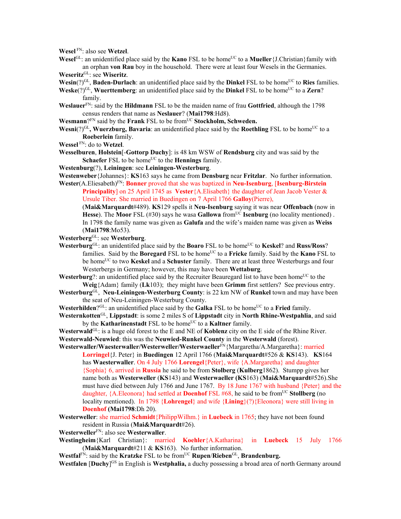**Wesel** FN: also see **Wetzel**.

Wesel<sup>GL</sup>: an unidentified place said by the **Kano** FSL to be home<sup>UC</sup> to a **Mueller**{J.Christian}family with an orphan **von Rau** boy in the household. There were at least four Wesels in the Germanies.

**Weseritz**GL: see **Wiseritz**.

- **Wesin**(?)<sup>GL</sup>, **Baden-Durlach**: an unidentified place said by the **Dinkel** FSL to be home<sup>UC</sup> to **Ries** families.
- **Weske**(?)<sup>GL</sup>, **Wuerttemberg**: an unidentified place said by the **Dinkel** FSL to be home<sup>UC</sup> to a **Zern**? family.
- **Weslauer**FN: said by the **Hildmann** FSL to be the maiden name of frau **Gottfried**, although the 1798 census renders that name as **Neslauer**? (**Mai1798**:Hd8).
- **Wesmann**?<sup>FN</sup> said by the **Frank** FSL to be from<sup>UC</sup> **Stockholm, Schweden.**
- **Wesni**(?)<sup>GL</sup>, **Wuerzburg**, **Bavaria**: an unidentified place said by the **Roethling** FSL to be home<sup>UC</sup> to a **Roeberlein** family.
- **Wessel** FN: do to **Wetzel**.
- **Wesselburen**, **Holstein**[-**Gottorp Duchy**]: is 48 km WSW of **Rendsburg** city and was said by the **Schaefer** FSL to be home<sup>UC</sup> to the **Hennings** family.
- **Westenburg**(?), **Leiningen**: see **Leiningen-Westerburg**.

**Westenweber**{Johannes}: **KS**163 says he came from **Densburg** near **Fritzlar**. No further information.

- Wester(A.Eliesabeth)<sup>FN</sup>: **Bonner** proved that she was baptized in **Neu-Isenburg**, [Isenburg-Birstein] **Principality**] on 25 April 1745 as **Vester**{A.Elisabeth} the daughter of Jean Jacob Vester & Ursule Tiber. She married in Buedingen on 7 April 1766 **Galloy**(Pierre),
	- (**Mai&Marquardt**#489). **KS**129 spells it **Neu-Isenburg** saying it was near **Offenbach** (now in Hesse). The **Moor** FSL (#30) says he wasa **Gallowa** from<sup>UC</sup> **Isenburg** (no locality mentioned). In 1798 the family name was given as **Galufa** and the wife's maiden name was given as **Weiss** (**Mai1798**:Mo53).
- **Westerberg**GL: see **Westerburg**.
- **Westerburg**GL: an unidentifed place said by the **Boaro** FSL to be homeUC to **Keskel**? and **Russ/Ross**? families. Said by the **Boregard** FSL to be home<sup>UC</sup> to a **Fricke** family. Said by the **Kano** FSL to be home<sup>UC</sup> to two **Keskel** and a **Schuster** family. There are at least three Westerburgs and four Westerbergs in Germany; however, this may have been **Wettaburg**.
- **Westerburg**?: an unidentified place said by the Recruiter Beauregard list to have been home<sup>UC</sup> to the **Weig**{Adam} family (**Lk**103); they might have been **Grimm** first settlers? See previous entry.
- **Westerburg**GL, **Neu-Leiningen-Westerburg County**: is 22 km NW of **Runkel** town and may have been the seat of Neu-Leiningen-Westerburg County.
- **Westerhilden**?GL: an unidentified place said by the **Galka** FSL to be home<sup>UC</sup> to a **Fried** family.
- **Westernkotten**GL, **Lippstadt**: is some 2 miles S of **Lippstadt** city in **North Rhine-Westpahlia**, and said by the **Katharinenstadt** FSL to be home<sup>UC</sup> to a **Kaltner** family.
- **Westerwald**GL: is a huge old forest to the E and NE of **Koblenz** city on the E side of the Rhine River. **Westerwald-Neuwied**: this was the **Neuwied-Runkel County** in the **Westerwald** (forest).
- Westerwaller/Waesterwaller/Westerweller/Westerwaeller<sup>FN</sup>{Margaretha/A.Margaretha}: married
	- **Lorringel**{J. Peter} in **Buedingen** 12 April 1766 (**Mai&Marquardt**#526 & **KS**143). **KS**164 has **Waesterwaller**. On 4 July 1766 **Lorengel**{Peter}, wife {A.Margaretha} and daughter {Sophia} 6, arrived in **Russia** he said to be from **Stolberg** (**Kulberg**1862). Stumpp gives her name both as **Westerweller** (**KS**143) and **Westerwaeller (KS**163) (**Mai&Marquardt**#526).She must have died between July 1766 and June 1767. By 18 June 1767 with husband {Peter} and the daughter, {A.Eleonora} had settled at **Doenhof** FSL #68, he said to be from<sup>UC</sup> Stollberg (no locality mentioned). In 1798 {**Lohrengel**} and wife {**Lining**}(?){Eleonora} were still living in **Doenhof (Mai1798**:Dh 20).
- **Westerweller**: she married **Schmidt**{PhilippWilhm.} in **Luebeck** in 1765; they have not been found resident in Russia (**Mai&Marquardt**#26).
- **Westerweller**FN: also see **Westerwaller**.
- **Westingheim**{Karl Christian}: married **Koehler**{A.Katharina} in **Luebeck** 15 July 1766 (**Mai&Marquardt**#211 & **KS**163). No further information.
- **Westfal<sup>FN</sup>: said by the Kratzke FSL to be from<sup>UC</sup> <b>Rupen**/**Rieben**<sup>GL</sup>, **Brandenburg.**

Westfalen [Duchy]<sup>GS</sup> in English is Westphalia, a duchy possessing a broad area of north Germany around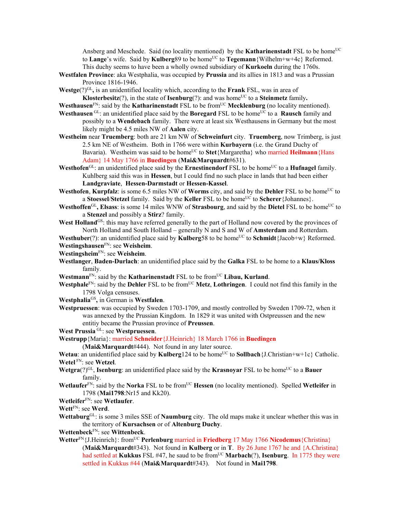Ansberg and Meschede. Said (no locality mentioned) by the **Katharinenstadt** FSL to be home<sup>UC</sup> to **Lange**'s wife. Said by **Kulberg**89 to be home<sup>UC</sup> to **Tegemann**{Wilhelm+w+4c} Reformed. This duchy seems to have been a wholly owned subsidiary of **Kurkoeln** during the 1760s.

**Westfalen Province**: aka Westphalia, was occupied by **Prussia** and its allies in 1813 and was a Prussian Province 1816-1946.

Westge(?)<sup>GL</sup>, is an unidentified locality which, according to the **Frank** FSL, was in area of **Klosterbesitz**(?), in the state of **Isenburg**(?): and was home<sup>UC</sup> to a **Steinmetz** family.

- **Westhausen**<sup>FN</sup>: said by the **Katharinenstadt** FSL to be from<sup>UC</sup> **Mecklenburg** (no locality mentioned).
- **Westhausen** GL: an unidentified place said by the **Boregard** FSL to be home<sup>UC</sup> to a **Rausch** family and possibly to a **Wendebach** family. There were at least six Westhausens in Germany but the most likely might be 4.5 miles NW of **Aalen** city.
- **Westheim** near **Truemberg**: both are 21 km NW of **Schweinfurt** city. **Truemberg**, now Trimberg, is just 2.5 km NE of Westheim. Both in 1766 were within **Kurbayern** (i.e. the Grand Duchy of Bavaria). Westheim was said to be home<sup>UC</sup> to Stet{Margaretha} who married Heilmann{Hans Adam} 14 May 1766 in **Buedingen** (**Mai&Marquardt**#631).
- **Westhofen**<sup>GL</sup>: an unidentified place said by the **Ernestinendorf** FSL to be home<sup>UC</sup> to a **Hufnagel** family. Kuhlberg said this was in **Hessen**, but I could find no such place in lands that had been either **Landgraviate**, **Hessen-Darmstadt** or **Hessen-Kassel**.
- **Westhofen, Kurpfalz**: is some 6.5 miles NW of **Worms** city, and said by the **Dehler** FSL to be home<sup>UC</sup> to a **Stoessel/Stetzel** family. Said by the **Keller** FSL to be home<sup>UC</sup> to **Scherer**{Johannes}.
- **Westhoffen**<sup>GL</sup>, Elsass: is some 14 miles WNW of **Strasbourg**, and said by the **Dietel** FSL to be home<sup>UC</sup> to a **Stenzel** and possibly a **Stirz**? family.
- West Holland<sup>GS</sup>: this may have referred generally to the part of Holland now covered by the provinces of North Holland and South Holland – generally N and S and W of **Amsterdam** and Rotterdam.

**Westhuber**(?): an unidentified place said by **Kulberg**58 to be home<sup>UC</sup> to **Schmidt**{Jacob+w} Reformed. **Westingshausen**FN: see **Weisheim**.

**Westingsheim**FN: see **Weisheim**.

**Westlanger**, **Baden-Durlach**: an unidentified place said by the **Galka** FSL to be home to a **Klaus/Kloss** family.

Westmann<sup>FN</sup>: said by the **Katharinenstadt** FSL to be from<sup>UC</sup> Libau, **Kurland**.

**Westphale**FN: said by the **Dehler** FSL to be fromUC **Metz**, **Lothringen**. I could not find this family in the 1798 Volga censuses.

**Westphalia**GS**,** in German is **Westfalen**.

**Westpruessen**: was occupied by Sweden 1703-1709, and mostly controlled by Sweden 1709-72, when it was annexed by the Prussian Kingdom. In 1829 it was united with Ostpreussen and the new entitiy became the Prussian province of **Preussen**.

**West Prussia** GL: see **Westpruessen**.

**Westrupp**{Maria}: married **Schneider**{J.Heinrich} 18 March 1766 in **Buedingen**

(**Mai&Marquardt**#444). Not found in any later source.

**Wetau:** an unidentified place said by **Kulberg**124 to be home<sup>UC</sup> to **Sollbach**{J.Christian+w+1c} Catholic. **Wetel** FN: see **Wetzel**.

- **Wetgra**(?)<sup>GL</sup>, **Isenburg**: an unidentified place said by the **Krasnovar** FSL to be home<sup>UC</sup> to a **Bauer** family.
- **Wetlaufer**<sup>FN</sup>: said by the **Norka** FSL to be from<sup>UC</sup> **Hessen** (no locality mentioned). Spelled **Wetleifer** in 1798 (**Mai1798**:Nr15 and Kk20).
- **Wetleifer**FN: see **Wetlaufer**.

**Wett**FN: see **Werd**.

- **Wettaburg**GL: is some 3 miles SSE of **Naumburg** city. The old maps make it unclear whether this was in the territory of **Kursachsen** or of **Altenburg Duchy**.
- **Wettenbeck**FN: see **Wittenbeck**.
- Wetter<sup>FN</sup>{J.Heinrich}: from<sup>UC</sup> Perlenburg married in Friedberg 17 May 1766 Nicodemus {Christina} (**Mai&Marquardt**#343). Not found in **Kulberg** or in **T**. By 26 June 1767 he and {A.Christina} had settled at **Kukkus** FSL #47, he saud to be from<sup>UC</sup> **Marbach**(?), **Isenburg**. In 1775 they were settled in Kukkus #44 (**Mai&Marquardt**#343). Not found in **Mai1798**.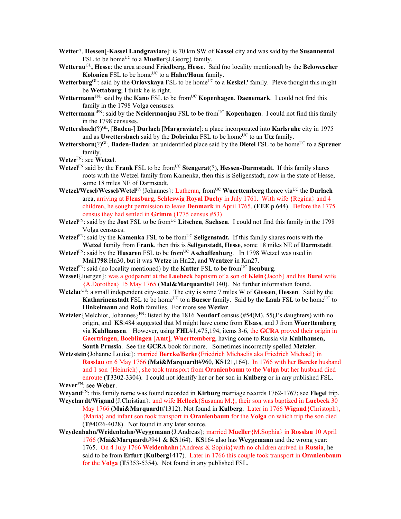- **Wetter**?, **Hessen**[-**Kassel Landgraviate**]: is 70 km SW of **Kassel** city and was said by the **Susannental** FSL to be home<sup>UC</sup> to a **Mueller** ${J.Georg}$  family.
- **Wetterau**GL**, Hesse**: the area around **Friedberg, Hesse**. Said (no locality mentioned) by the **Belowescher Kolonien** FSL to be home<sup>UC</sup> to a **Hahn/Honn** family.
- **Wetterburg**<sup>GL</sup>: said by the **Orlovskaya** FSL to be home<sup>UC</sup> to a **Keskel**? family. Pleve thought this might be **Wettaburg**; I think he is right.
- **Wettermann**<sup>FN</sup>: said by the **Kano** FSL to be from<sup>UC</sup> **Kopenhagen**, **Daenemark**. I could not find this family in the 1798 Volga censuses.
- **Wettermann**  $\widehat{F}N$ : said by the **Neidermonjou** FSL to be from<sup>UC</sup> **Kopenhagen**. I could not find this family in the 1798 censuses.
- **Wettersbach**(?)GL, [**Baden**-] **Durlach** [**Margraviate**]: a place incorporated into **Karlsruhe** city in 1975 and as **Uwettersbach** said by the **Dobrinka** FSL to be home<sup>UC</sup> to an **Utz** family.
- **Wettersborn**(?)<sup>GL</sup>, **Baden-Baden**: an unidentified place said by the **Dietel** FSL to be home<sup>UC</sup> to a **Spreuer** family.
- **Wetze**FN: see **Wetzel**.
- **Wetzel**<sup>FN</sup> said by the **Frank** FSL to be from<sup>UC</sup> **Stengerat**(?), **Hessen-Darmstadt.** If this family shares roots with the Wetzel family from Kamenka, then this is Seligenstadt, now in the state of Hesse, some 18 miles NE of Darmstadt.
- Wetzel/Wesel/Wesel/Wetel<sup>FN</sup>{Johannes}: Lutheran, from<sup>UC</sup> Wuerttemberg thence via<sup>UC</sup> the **Durlach** area, arriving at **Flensburg, Schleswig Royal Duchy** in July 1761. With wife {Regina} and 4 children, he sought permission to leave **Denmark** in April 1765. (**EEE** p.644). Before the 1775 census they had settled in **Grimm** (1775 census #53)
- Wetzel<sup>FN</sup>: said by the **Jost** FSL to be from<sup>UC</sup> Litschen, Sachsen. I could not find this family in the 1798 Volga censuses.
- Wetzel<sup>FN</sup>: said by the **Kamenka** FSL to be from<sup>UC</sup> Seligenstadt. If this family shares roots with the **Wetzel** family from **Frank**, then this is **Seligenstadt, Hesse**, some 18 miles NE of **Darmstadt**.
- **Wetzel**FN: said by the **Husaren** FSL to be from<sup>UC</sup> Aschaffenburg. In 1798 Wetzel was used in **Mai1798**:Hn30, but it was **Wetze** in Hn22**,** and **Wentzer** in Km27.
- **Wetzel**FN: said (no locality mentioned) by the **Kutter** FSL to be from<sup>UC</sup> **Isenburg**.
- **Wessel**{Juergen}: was a godparent at the **Luebeck** baptisim of a son of **Klein**{Jacob} and his **Burel** wife {A.Dorothea} 15 May 1765 (**Mai&Marquardt**#1340). No further information found.
- **Wetzlar**GS: a small independent city-state. The city is some 7 miles W of **Giessen**, **Hessen**. Said by the **Katharinenstadt** FSL to be home<sup>UC</sup> to a **Bueser** family. Said by the **Laub** FSL to be home<sup>UC</sup> to **Hinkelmann** and **Roth** families. For more see **Wezlar**.
- Wetzler {Melchior, Johannes}<sup>FN</sup>: listed by the 1816 **Neudorf** census (#54(M), 55(J's daughters) with no origin, and **KS**:484 suggested that M might have come from **Elsass**, and J from **Wuerttemberg** via **Kuhlhausen**. However, using **FHL**#1,475,194, items 3-6, the **GCRA** proved their origin in **Gaertringen**, **Boeblingen** [**Amt**], **Wuerttemberg**, having come to Russia via **Kuhlhausen, South Prussia**. See the **GCRA** book for more. Sometimes incorrectly spelled **Metzler**.
- **Wetzstein**{Johanne Louise}: married **Bercke/Berke**{Friedrich Michaelis aka Friedrich Michael} in **Rosslau** on 6 May 1766 (**Mai&Marquardt**#960, **KS**121,164). In 1766 with her **Bercke** husband and 1 son {Heinrich}, she took transport from **Oranienbaum** to the **Volga** but her husband died enroute (**T**3302-3304). I could not identify her or her son in **Kulberg** or in any published FSL. **Wever**FN: see **Weber**.
- **Weyand**FN: this family name was found recorded in **Kirburg** marriage records 1762-1767; see **Flegel** trip.
- **Weychardt/Wigand**{J.Christian}: and wife **Helleck**{Susanna M.}, their son was baptized in **Luebeck** 30 May 1766 (**Mai&Marquardt**#1312). Not found in **Kulberg**. Later in 1766 **Wigand**{Christoph}, {Maria} and infant son took transport in **Oranienbaum** for the **Volga** on which trip the son died (**T**#4026-4028). Not found in any later source.
- **Weydenhahn/Weidenhahn/Weygemann**{J.Andreas}; married **Mueller**{M.Sophia} in **Rosslau** 10 April 1766 (**Mai&Marquardt**#941 & **KS**164). **KS**164 also has **Weygemann** and the wrong year: 1765. On 4 July 1766 **Weidenhahn**{Andreas & Sophia}with no children arrived in **Russia**, he said to be from **Erfurt** (**Kulberg**1417). Later in 1766 this couple took transport in **Oranienbaum**  for the **Volga** (**T**5353-5354). Not found in any published FSL.